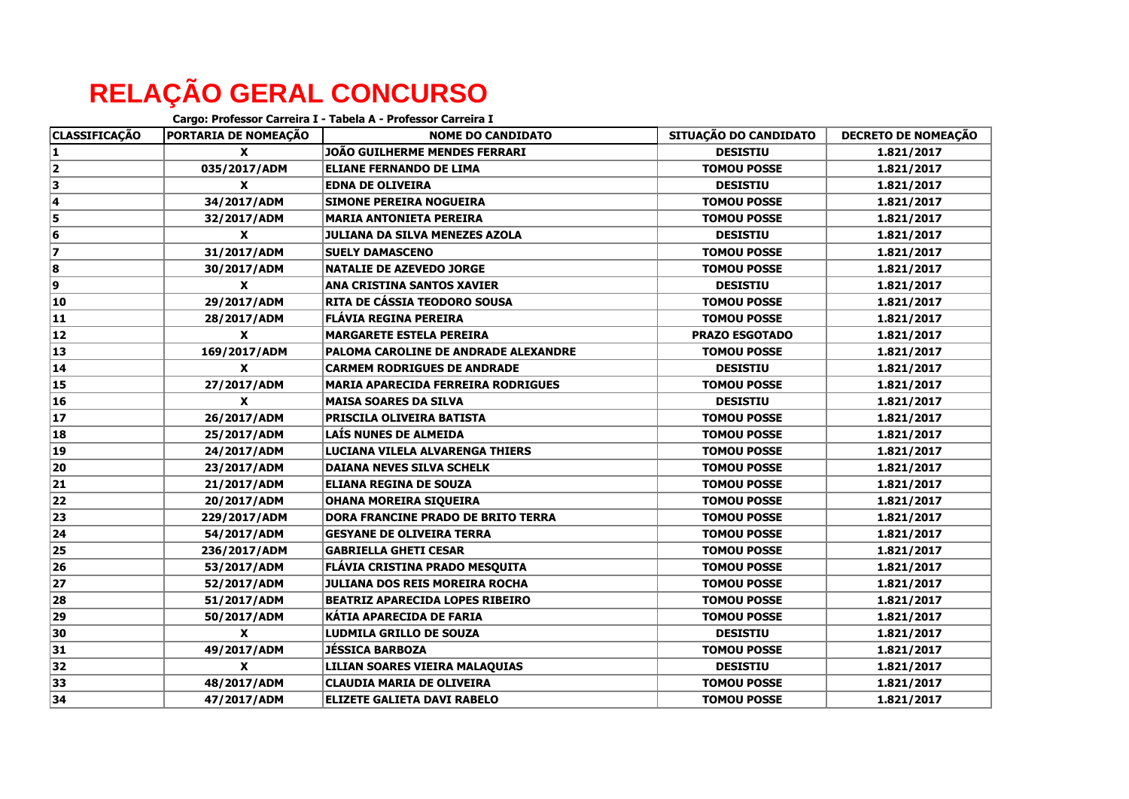## **RELAÇÃO GERAL CONCURSO**

|                      | Cargo: Professor Carreira I - Tabela A - Professor Carreira I |                                           |                       |                            |  |
|----------------------|---------------------------------------------------------------|-------------------------------------------|-----------------------|----------------------------|--|
| <b>CLASSIFICAÇÃO</b> | PORTARIA DE NOMEAÇÃO                                          | <b>NOME DO CANDIDATO</b>                  | SITUAÇÃO DO CANDIDATO | <b>DECRETO DE NOMEAÇÃO</b> |  |
| 1                    | $\mathbf{x}$                                                  | JOÃO GUILHERME MENDES FERRARI             | <b>DESISTIU</b>       | 1.821/2017                 |  |
| 2                    | 035/2017/ADM                                                  | <b>ELIANE FERNANDO DE LIMA</b>            | <b>TOMOU POSSE</b>    | 1.821/2017                 |  |
| 3                    | X                                                             | <b>EDNA DE OLIVEIRA</b>                   | <b>DESISTIU</b>       | 1.821/2017                 |  |
| 4                    | 34/2017/ADM                                                   | <b>SIMONE PEREIRA NOGUEIRA</b>            | <b>TOMOU POSSE</b>    | 1.821/2017                 |  |
| 5                    | 32/2017/ADM                                                   | <b>MARIA ANTONIETA PEREIRA</b>            | <b>TOMOU POSSE</b>    | 1.821/2017                 |  |
| 6                    | X                                                             | JULIANA DA SILVA MENEZES AZOLA            | <b>DESISTIU</b>       | 1.821/2017                 |  |
| 7                    | 31/2017/ADM                                                   | <b>SUELY DAMASCENO</b>                    | <b>TOMOU POSSE</b>    | 1.821/2017                 |  |
| 8                    | 30/2017/ADM                                                   | <b>NATALIE DE AZEVEDO JORGE</b>           | <b>TOMOU POSSE</b>    | 1.821/2017                 |  |
| 9                    | X                                                             | <b>ANA CRISTINA SANTOS XAVIER</b>         | <b>DESISTIU</b>       | 1.821/2017                 |  |
| 10                   | 29/2017/ADM                                                   | RITA DE CÁSSIA TEODORO SOUSA              | <b>TOMOU POSSE</b>    | 1.821/2017                 |  |
| 11                   | 28/2017/ADM                                                   | <b>FLÁVIA REGINA PEREIRA</b>              | <b>TOMOU POSSE</b>    | 1.821/2017                 |  |
| 12                   | X                                                             | <b>MARGARETE ESTELA PEREIRA</b>           | <b>PRAZO ESGOTADO</b> | 1.821/2017                 |  |
| 13                   | 169/2017/ADM                                                  | PALOMA CAROLINE DE ANDRADE ALEXANDRE      | <b>TOMOU POSSE</b>    | 1.821/2017                 |  |
| 14                   | X                                                             | <b>CARMEM RODRIGUES DE ANDRADE</b>        | <b>DESISTIU</b>       | 1.821/2017                 |  |
| 15                   | 27/2017/ADM                                                   | <b>MARIA APARECIDA FERREIRA RODRIGUES</b> | <b>TOMOU POSSE</b>    | 1.821/2017                 |  |
| 16                   | X                                                             | <b>MAISA SOARES DA SILVA</b>              | <b>DESISTIU</b>       | 1.821/2017                 |  |
| 17                   | 26/2017/ADM                                                   | <b>PRISCILA OLIVEIRA BATISTA</b>          | <b>TOMOU POSSE</b>    | 1.821/2017                 |  |
| 18                   | 25/2017/ADM                                                   | LAÍS NUNES DE ALMEIDA                     | <b>TOMOU POSSE</b>    | 1.821/2017                 |  |
| 19                   | 24/2017/ADM                                                   | LUCIANA VILELA ALVARENGA THIERS           | <b>TOMOU POSSE</b>    | 1.821/2017                 |  |
| 20                   | 23/2017/ADM                                                   | <b>DAIANA NEVES SILVA SCHELK</b>          | <b>TOMOU POSSE</b>    | 1.821/2017                 |  |
| 21                   | 21/2017/ADM                                                   | <b>ELIANA REGINA DE SOUZA</b>             | <b>TOMOU POSSE</b>    | 1.821/2017                 |  |
| 22                   | 20/2017/ADM                                                   | <b>OHANA MOREIRA SIQUEIRA</b>             | <b>TOMOU POSSE</b>    | 1.821/2017                 |  |
| 23                   | 229/2017/ADM                                                  | DORA FRANCINE PRADO DE BRITO TERRA        | <b>TOMOU POSSE</b>    | 1.821/2017                 |  |
| 24                   | 54/2017/ADM                                                   | <b>GESYANE DE OLIVEIRA TERRA</b>          | <b>TOMOU POSSE</b>    | 1.821/2017                 |  |
| 25                   | 236/2017/ADM                                                  | <b>GABRIELLA GHETI CESAR</b>              | <b>TOMOU POSSE</b>    | 1.821/2017                 |  |
| 26                   | 53/2017/ADM                                                   | FLÁVIA CRISTINA PRADO MESQUITA            | <b>TOMOU POSSE</b>    | 1.821/2017                 |  |
| 27                   | 52/2017/ADM                                                   | <b>JULIANA DOS REIS MOREIRA ROCHA</b>     | <b>TOMOU POSSE</b>    | 1.821/2017                 |  |
| 28                   | 51/2017/ADM                                                   | <b>BEATRIZ APARECIDA LOPES RIBEIRO</b>    | <b>TOMOU POSSE</b>    | 1.821/2017                 |  |
| 29                   | 50/2017/ADM                                                   | KÁTIA APARECIDA DE FARIA                  | <b>TOMOU POSSE</b>    | 1.821/2017                 |  |
| 30                   | X                                                             | LUDMILA GRILLO DE SOUZA                   | <b>DESISTIU</b>       | 1.821/2017                 |  |
| 31                   | 49/2017/ADM                                                   | JÉSSICA BARBOZA                           | <b>TOMOU POSSE</b>    | 1.821/2017                 |  |
| 32                   | X                                                             | LILIAN SOARES VIEIRA MALAQUIAS            | <b>DESISTIU</b>       | 1.821/2017                 |  |
| 33                   | 48/2017/ADM                                                   | <b>CLAUDIA MARIA DE OLIVEIRA</b>          | <b>TOMOU POSSE</b>    | 1.821/2017                 |  |
| 34                   | 47/2017/ADM                                                   | <b>ELIZETE GALIETA DAVI RABELO</b>        | <b>TOMOU POSSE</b>    | 1.821/2017                 |  |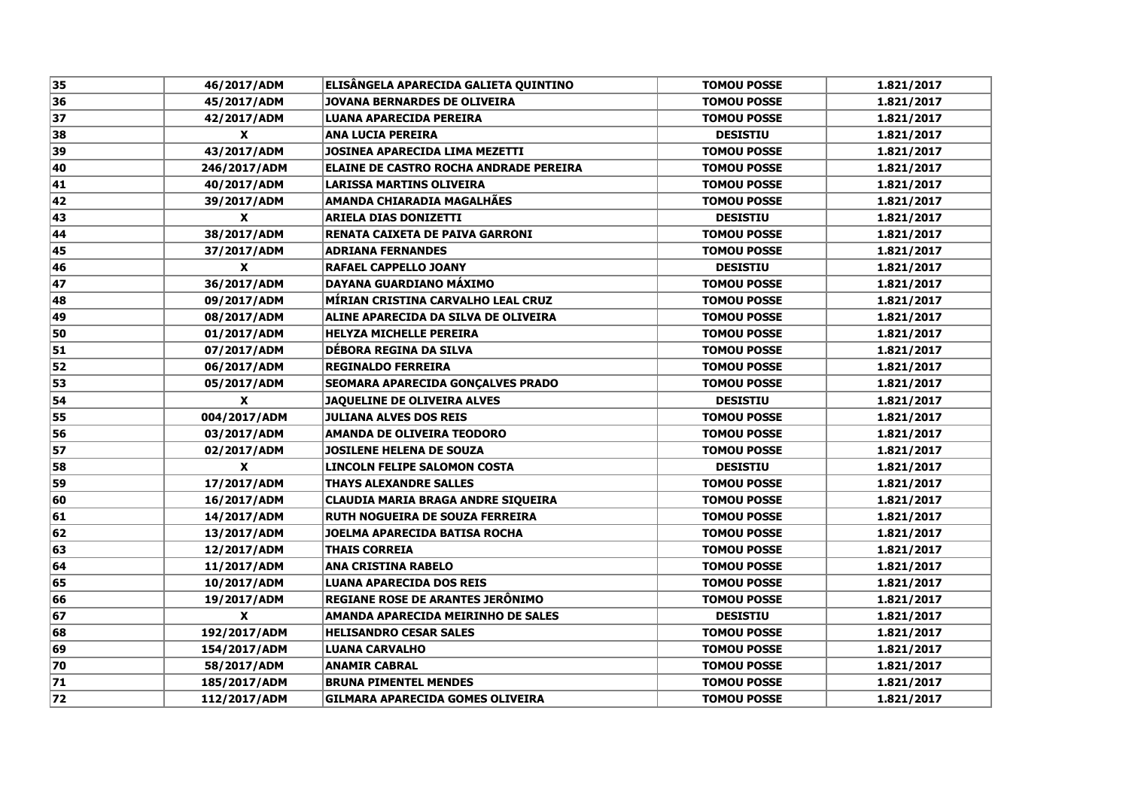| 35 | 46/2017/ADM        | ELISÂNGELA APARECIDA GALIETA QUINTINO   | <b>TOMOU POSSE</b> | 1.821/2017 |
|----|--------------------|-----------------------------------------|--------------------|------------|
| 36 | 45/2017/ADM        | <b>JOVANA BERNARDES DE OLIVEIRA</b>     | <b>TOMOU POSSE</b> | 1.821/2017 |
| 37 | 42/2017/ADM        | LUANA APARECIDA PEREIRA                 | <b>TOMOU POSSE</b> | 1.821/2017 |
| 38 | $\mathbf x$        | <b>ANA LUCIA PEREIRA</b>                | <b>DESISTIU</b>    | 1.821/2017 |
| 39 | 43/2017/ADM        | <b>JOSINEA APARECIDA LIMA MEZETTI</b>   | <b>TOMOU POSSE</b> | 1.821/2017 |
| 40 | 246/2017/ADM       | ELAINE DE CASTRO ROCHA ANDRADE PEREIRA  | <b>TOMOU POSSE</b> | 1.821/2017 |
| 41 | 40/2017/ADM        | <b>LARISSA MARTINS OLIVEIRA</b>         | <b>TOMOU POSSE</b> | 1.821/2017 |
| 42 | 39/2017/ADM        | <b>AMANDA CHIARADIA MAGALHÃES</b>       | <b>TOMOU POSSE</b> | 1.821/2017 |
| 43 | X                  | <b>ARIELA DIAS DONIZETTI</b>            | <b>DESISTIU</b>    | 1.821/2017 |
| 44 | 38/2017/ADM        | RENATA CAIXETA DE PAIVA GARRONI         | <b>TOMOU POSSE</b> | 1.821/2017 |
| 45 | 37/2017/ADM        | <b>ADRIANA FERNANDES</b>                | <b>TOMOU POSSE</b> | 1.821/2017 |
| 46 | X                  | <b>RAFAEL CAPPELLO JOANY</b>            | <b>DESISTIU</b>    | 1.821/2017 |
| 47 | 36/2017/ADM        | <b>DAYANA GUARDIANO MÁXIMO</b>          | <b>TOMOU POSSE</b> | 1.821/2017 |
| 48 | 09/2017/ADM        | MÍRIAN CRISTINA CARVALHO LEAL CRUZ      | <b>TOMOU POSSE</b> | 1.821/2017 |
| 49 | 08/2017/ADM        | ALINE APARECIDA DA SILVA DE OLIVEIRA    | <b>TOMOU POSSE</b> | 1.821/2017 |
| 50 | 01/2017/ADM        | <b>HELYZA MICHELLE PEREIRA</b>          | <b>TOMOU POSSE</b> | 1.821/2017 |
| 51 | 07/2017/ADM        | DÉBORA REGINA DA SILVA                  | <b>TOMOU POSSE</b> | 1.821/2017 |
| 52 | 06/2017/ADM        | <b>REGINALDO FERREIRA</b>               | <b>TOMOU POSSE</b> | 1.821/2017 |
| 53 | 05/2017/ADM        | SEOMARA APARECIDA GONÇALVES PRADO       | <b>TOMOU POSSE</b> | 1.821/2017 |
| 54 | $\mathbf{x}$       | JAQUELINE DE OLIVEIRA ALVES             | <b>DESISTIU</b>    | 1.821/2017 |
| 55 | 004/2017/ADM       | <b>JULIANA ALVES DOS REIS</b>           | <b>TOMOU POSSE</b> | 1.821/2017 |
| 56 | 03/2017/ADM        | <b>AMANDA DE OLIVEIRA TEODORO</b>       | <b>TOMOU POSSE</b> | 1.821/2017 |
| 57 | 02/2017/ADM        | <b>JOSILENE HELENA DE SOUZA</b>         | <b>TOMOU POSSE</b> | 1.821/2017 |
| 58 | X                  | LINCOLN FELIPE SALOMON COSTA            | <b>DESISTIU</b>    | 1.821/2017 |
| 59 | 17/2017/ADM        | <b>THAYS ALEXANDRE SALLES</b>           | <b>TOMOU POSSE</b> | 1.821/2017 |
| 60 | 16/2017/ADM        | CLAUDIA MARIA BRAGA ANDRE SIQUEIRA      | <b>TOMOU POSSE</b> | 1.821/2017 |
| 61 | 14/2017/ADM        | <b>RUTH NOGUEIRA DE SOUZA FERREIRA</b>  | <b>TOMOU POSSE</b> | 1.821/2017 |
| 62 | 13/2017/ADM        | JOELMA APARECIDA BATISA ROCHA           | <b>TOMOU POSSE</b> | 1.821/2017 |
| 63 | 12/2017/ADM        | <b>THAIS CORREIA</b>                    | <b>TOMOU POSSE</b> | 1.821/2017 |
| 64 | 11/2017/ADM        | <b>ANA CRISTINA RABELO</b>              | <b>TOMOU POSSE</b> | 1.821/2017 |
| 65 | 10/2017/ADM        | <b>LUANA APARECIDA DOS REIS</b>         | <b>TOMOU POSSE</b> | 1.821/2017 |
| 66 | 19/2017/ADM        | REGIANE ROSE DE ARANTES JERÔNIMO        | <b>TOMOU POSSE</b> | 1.821/2017 |
| 67 | $\pmb{\mathsf{X}}$ | AMANDA APARECIDA MEIRINHO DE SALES      | <b>DESISTIU</b>    | 1.821/2017 |
| 68 | 192/2017/ADM       | <b>HELISANDRO CESAR SALES</b>           | <b>TOMOU POSSE</b> | 1.821/2017 |
| 69 | 154/2017/ADM       | <b>LUANA CARVALHO</b>                   | <b>TOMOU POSSE</b> | 1.821/2017 |
| 70 | 58/2017/ADM        | <b>ANAMIR CABRAL</b>                    | <b>TOMOU POSSE</b> | 1.821/2017 |
| 71 | 185/2017/ADM       | <b>BRUNA PIMENTEL MENDES</b>            | <b>TOMOU POSSE</b> | 1.821/2017 |
| 72 | 112/2017/ADM       | <b>GILMARA APARECIDA GOMES OLIVEIRA</b> | <b>TOMOU POSSE</b> | 1.821/2017 |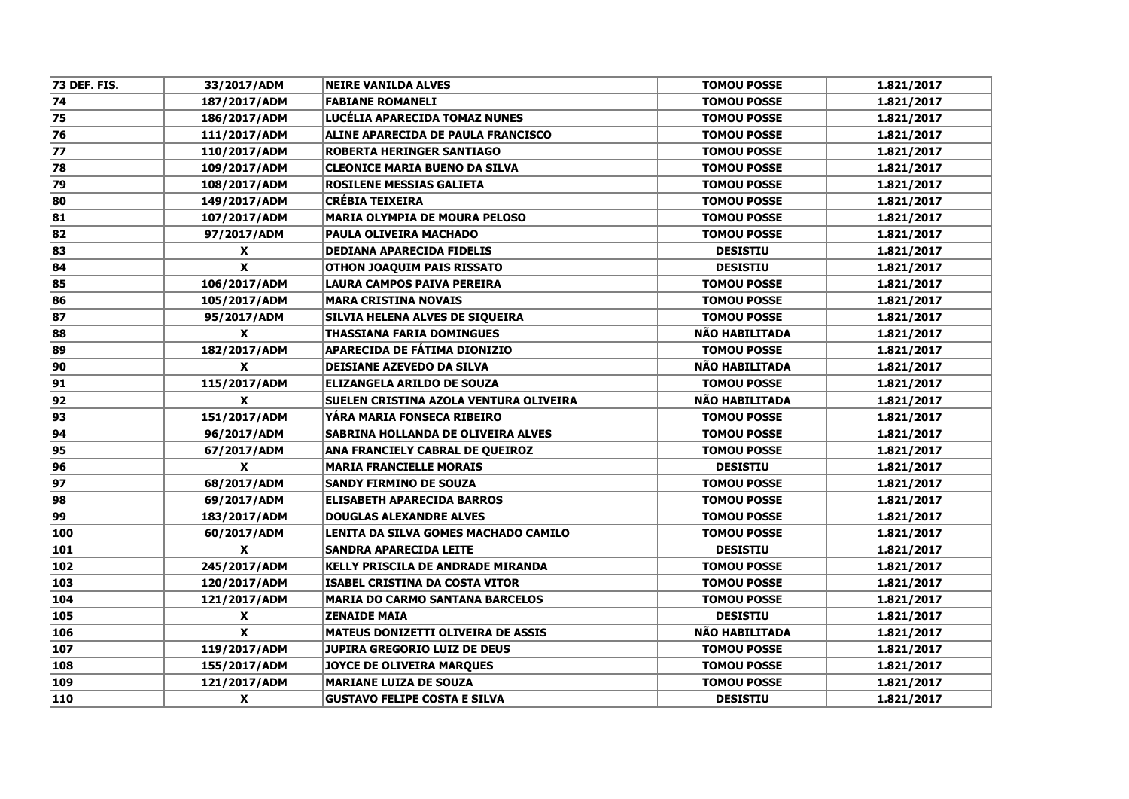| 73 DEF. FIS. | 33/2017/ADM               | <b>NEIRE VANILDA ALVES</b>                | <b>TOMOU POSSE</b>    | 1.821/2017 |
|--------------|---------------------------|-------------------------------------------|-----------------------|------------|
| 74           | 187/2017/ADM              | <b>FABIANE ROMANELI</b>                   | <b>TOMOU POSSE</b>    | 1.821/2017 |
| 75           | 186/2017/ADM              | LUCÉLIA APARECIDA TOMAZ NUNES             | <b>TOMOU POSSE</b>    | 1.821/2017 |
| 76           | 111/2017/ADM              | ALINE APARECIDA DE PAULA FRANCISCO        | <b>TOMOU POSSE</b>    | 1.821/2017 |
| 77           | 110/2017/ADM              | ROBERTA HERINGER SANTIAGO                 | <b>TOMOU POSSE</b>    | 1.821/2017 |
| 78           | 109/2017/ADM              | <b>CLEONICE MARIA BUENO DA SILVA</b>      | <b>TOMOU POSSE</b>    | 1.821/2017 |
| 79           | 108/2017/ADM              | <b>ROSILENE MESSIAS GALIETA</b>           | <b>TOMOU POSSE</b>    | 1.821/2017 |
| 80           | 149/2017/ADM              | <b>CRÉBIA TEIXEIRA</b>                    | <b>TOMOU POSSE</b>    | 1.821/2017 |
| 81           | 107/2017/ADM              | <b>MARIA OLYMPIA DE MOURA PELOSO</b>      | <b>TOMOU POSSE</b>    | 1.821/2017 |
| 82           | 97/2017/ADM               | PAULA OLIVEIRA MACHADO                    | <b>TOMOU POSSE</b>    | 1.821/2017 |
| 83           | $\boldsymbol{\mathsf{x}}$ | <b>DEDIANA APARECIDA FIDELIS</b>          | <b>DESISTIU</b>       | 1.821/2017 |
| 84           | $\boldsymbol{\mathsf{x}}$ | <b>OTHON JOAQUIM PAIS RISSATO</b>         | <b>DESISTIU</b>       | 1.821/2017 |
| 85           | 106/2017/ADM              | LAURA CAMPOS PAIVA PEREIRA                | <b>TOMOU POSSE</b>    | 1.821/2017 |
| 86           | 105/2017/ADM              | <b>MARA CRISTINA NOVAIS</b>               | <b>TOMOU POSSE</b>    | 1.821/2017 |
| 87           | 95/2017/ADM               | SILVIA HELENA ALVES DE SIQUEIRA           | <b>TOMOU POSSE</b>    | 1.821/2017 |
| 88           | $\mathbf{x}$              | <b>THASSIANA FARIA DOMINGUES</b>          | NÃO HABILITADA        | 1.821/2017 |
| 89           | 182/2017/ADM              | <b>APARECIDA DE FÁTIMA DIONIZIO</b>       | <b>TOMOU POSSE</b>    | 1.821/2017 |
| 90           | $\mathbf{x}$              | <b>DEISIANE AZEVEDO DA SILVA</b>          | NÃO HABILITADA        | 1.821/2017 |
| 91           | 115/2017/ADM              | ELIZANGELA ARILDO DE SOUZA                | <b>TOMOU POSSE</b>    | 1.821/2017 |
| 92           | $\mathbf{x}$              | SUELEN CRISTINA AZOLA VENTURA OLIVEIRA    | NÃO HABILITADA        | 1.821/2017 |
| 93           | 151/2017/ADM              | YARA MARIA FONSECA RIBEIRO                | <b>TOMOU POSSE</b>    | 1.821/2017 |
| 94           | 96/2017/ADM               | SABRINA HOLLANDA DE OLIVEIRA ALVES        | <b>TOMOU POSSE</b>    | 1.821/2017 |
| 95           | 67/2017/ADM               | ANA FRANCIELY CABRAL DE QUEIROZ           | <b>TOMOU POSSE</b>    | 1.821/2017 |
| 96           | $\mathbf{x}$              | <b>MARIA FRANCIELLE MORAIS</b>            | <b>DESISTIU</b>       | 1.821/2017 |
| 97           | 68/2017/ADM               | <b>SANDY FIRMINO DE SOUZA</b>             | <b>TOMOU POSSE</b>    | 1.821/2017 |
| 98           | 69/2017/ADM               | <b>ELISABETH APARECIDA BARROS</b>         | <b>TOMOU POSSE</b>    | 1.821/2017 |
| 99           | 183/2017/ADM              | <b>DOUGLAS ALEXANDRE ALVES</b>            | <b>TOMOU POSSE</b>    | 1.821/2017 |
| 100          | 60/2017/ADM               | LENITA DA SILVA GOMES MACHADO CAMILO      | <b>TOMOU POSSE</b>    | 1.821/2017 |
| 101          | $\boldsymbol{\mathsf{x}}$ | <b>SANDRA APARECIDA LEITE</b>             | <b>DESISTIU</b>       | 1.821/2017 |
| 102          | 245/2017/ADM              | KELLY PRISCILA DE ANDRADE MIRANDA         | <b>TOMOU POSSE</b>    | 1.821/2017 |
| 103          | 120/2017/ADM              | <b>ISABEL CRISTINA DA COSTA VITOR</b>     | <b>TOMOU POSSE</b>    | 1.821/2017 |
| 104          | 121/2017/ADM              | <b>MARIA DO CARMO SANTANA BARCELOS</b>    | <b>TOMOU POSSE</b>    | 1.821/2017 |
| 105          | $\pmb{\chi}$              | <b>ZENAIDE MAIA</b>                       | <b>DESISTIU</b>       | 1.821/2017 |
| 106          | $\mathbf x$               | <b>MATEUS DONIZETTI OLIVEIRA DE ASSIS</b> | <b>NÃO HABILITADA</b> | 1.821/2017 |
| 107          | 119/2017/ADM              | <b>JUPIRA GREGORIO LUIZ DE DEUS</b>       | <b>TOMOU POSSE</b>    | 1.821/2017 |
| 108          | 155/2017/ADM              | JOYCE DE OLIVEIRA MARQUES                 | <b>TOMOU POSSE</b>    | 1.821/2017 |
| 109          | 121/2017/ADM              | <b>MARIANE LUIZA DE SOUZA</b>             | <b>TOMOU POSSE</b>    | 1.821/2017 |
| 110          | $\boldsymbol{\mathsf{x}}$ | <b>GUSTAVO FELIPE COSTA E SILVA</b>       | <b>DESISTIU</b>       | 1.821/2017 |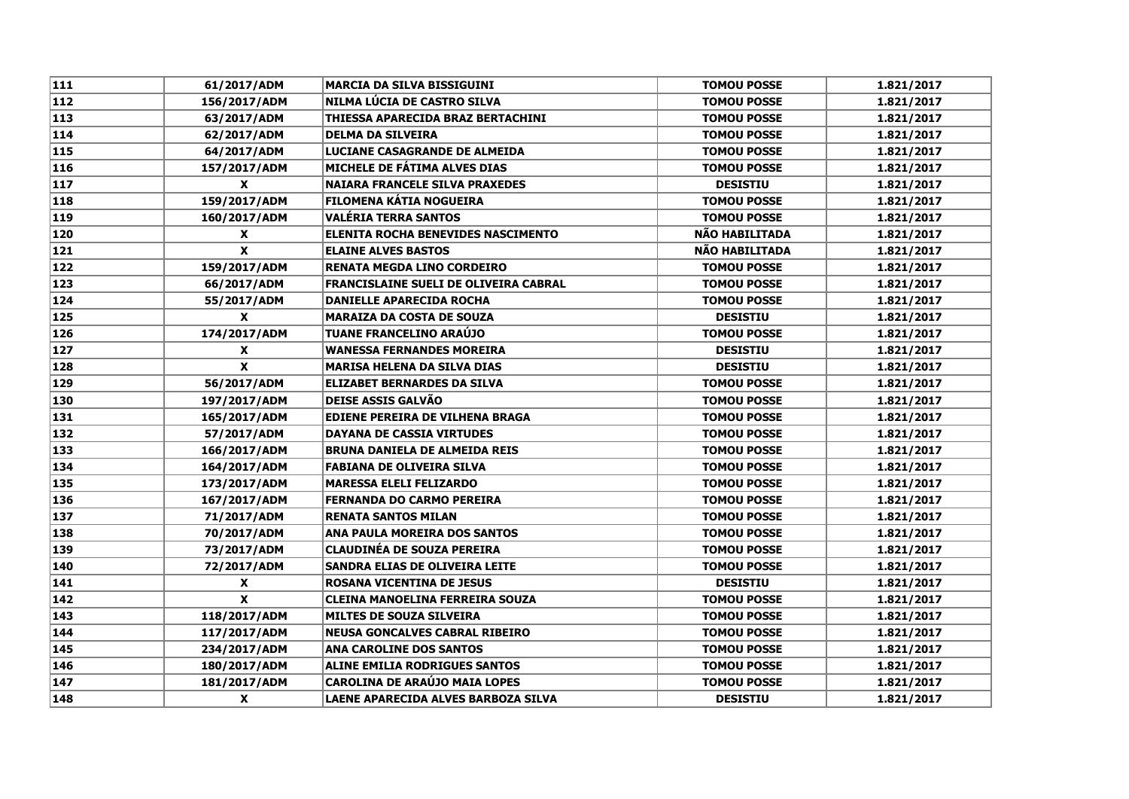| 111 | 61/2017/ADM      | <b>MARCIA DA SILVA BISSIGUINI</b>            | <b>TOMOU POSSE</b> | 1.821/2017 |
|-----|------------------|----------------------------------------------|--------------------|------------|
| 112 | 156/2017/ADM     | NILMA LÚCIA DE CASTRO SILVA                  | <b>TOMOU POSSE</b> | 1.821/2017 |
| 113 | 63/2017/ADM      | THIESSA APARECIDA BRAZ BERTACHINI            | <b>TOMOU POSSE</b> | 1.821/2017 |
| 114 | 62/2017/ADM      | <b>DELMA DA SILVEIRA</b>                     | <b>TOMOU POSSE</b> | 1.821/2017 |
| 115 | 64/2017/ADM      | LUCIANE CASAGRANDE DE ALMEIDA                | <b>TOMOU POSSE</b> | 1.821/2017 |
| 116 | 157/2017/ADM     | <b>MICHELE DE FÁTIMA ALVES DIAS</b>          | <b>TOMOU POSSE</b> | 1.821/2017 |
| 117 | X                | <b>NAIARA FRANCELE SILVA PRAXEDES</b>        | <b>DESISTIU</b>    | 1.821/2017 |
| 118 | 159/2017/ADM     | <b>FILOMENA KÁTIA NOGUEIRA</b>               | <b>TOMOU POSSE</b> | 1.821/2017 |
| 119 | 160/2017/ADM     | VALÉRIA TERRA SANTOS                         | <b>TOMOU POSSE</b> | 1.821/2017 |
| 120 | X                | <b>ELENITA ROCHA BENEVIDES NASCIMENTO</b>    | NÃO HABILITADA     | 1.821/2017 |
| 121 | $\pmb{\chi}$     | <b>ELAINE ALVES BASTOS</b>                   | NÃO HABILITADA     | 1.821/2017 |
| 122 | 159/2017/ADM     | <b>RENATA MEGDA LINO CORDEIRO</b>            | <b>TOMOU POSSE</b> | 1.821/2017 |
| 123 | 66/2017/ADM      | <b>FRANCISLAINE SUELI DE OLIVEIRA CABRAL</b> | <b>TOMOU POSSE</b> | 1.821/2017 |
| 124 | 55/2017/ADM      | <b>DANIELLE APARECIDA ROCHA</b>              | <b>TOMOU POSSE</b> | 1.821/2017 |
| 125 | $\mathbf{x}$     | <b>MARAIZA DA COSTA DE SOUZA</b>             | <b>DESISTIU</b>    | 1.821/2017 |
| 126 | 174/2017/ADM     | <b>TUANE FRANCELINO ARAÚJO</b>               | <b>TOMOU POSSE</b> | 1.821/2017 |
| 127 | X                | <b>WANESSA FERNANDES MOREIRA</b>             | <b>DESISTIU</b>    | 1.821/2017 |
| 128 | $\mathbf{x}$     | <b>MARISA HELENA DA SILVA DIAS</b>           | <b>DESISTIU</b>    | 1.821/2017 |
| 129 | 56/2017/ADM      | <b>ELIZABET BERNARDES DA SILVA</b>           | <b>TOMOU POSSE</b> | 1.821/2017 |
| 130 | 197/2017/ADM     | <b>DEISE ASSIS GALVÃO</b>                    | <b>TOMOU POSSE</b> | 1.821/2017 |
| 131 | 165/2017/ADM     | <b>EDIENE PEREIRA DE VILHENA BRAGA</b>       | <b>TOMOU POSSE</b> | 1.821/2017 |
| 132 | 57/2017/ADM      | <b>DAYANA DE CASSIA VIRTUDES</b>             | <b>TOMOU POSSE</b> | 1.821/2017 |
| 133 | 166/2017/ADM     | <b>BRUNA DANIELA DE ALMEIDA REIS</b>         | <b>TOMOU POSSE</b> | 1.821/2017 |
| 134 | 164/2017/ADM     | <b>FABIANA DE OLIVEIRA SILVA</b>             | <b>TOMOU POSSE</b> | 1.821/2017 |
| 135 | 173/2017/ADM     | <b>MARESSA ELELI FELIZARDO</b>               | <b>TOMOU POSSE</b> | 1.821/2017 |
| 136 | 167/2017/ADM     | <b>FERNANDA DO CARMO PEREIRA</b>             | <b>TOMOU POSSE</b> | 1.821/2017 |
| 137 | 71/2017/ADM      | <b>RENATA SANTOS MILAN</b>                   | <b>TOMOU POSSE</b> | 1.821/2017 |
| 138 | 70/2017/ADM      | <b>ANA PAULA MOREIRA DOS SANTOS</b>          | <b>TOMOU POSSE</b> | 1.821/2017 |
| 139 | 73/2017/ADM      | <b>CLAUDINÉA DE SOUZA PEREIRA</b>            | <b>TOMOU POSSE</b> | 1.821/2017 |
| 140 | 72/2017/ADM      | <b>SANDRA ELIAS DE OLIVEIRA LEITE</b>        | <b>TOMOU POSSE</b> | 1.821/2017 |
| 141 | X                | <b>ROSANA VICENTINA DE JESUS</b>             | <b>DESISTIU</b>    | 1.821/2017 |
| 142 | X                | CLEINA MANOELINA FERREIRA SOUZA              | <b>TOMOU POSSE</b> | 1.821/2017 |
| 143 | 118/2017/ADM     | <b>MILTES DE SOUZA SILVEIRA</b>              | <b>TOMOU POSSE</b> | 1.821/2017 |
| 144 | 117/2017/ADM     | <b>NEUSA GONCALVES CABRAL RIBEIRO</b>        | <b>TOMOU POSSE</b> | 1.821/2017 |
| 145 | 234/2017/ADM     | <b>ANA CAROLINE DOS SANTOS</b>               | <b>TOMOU POSSE</b> | 1.821/2017 |
| 146 | 180/2017/ADM     | <b>ALINE EMILIA RODRIGUES SANTOS</b>         | <b>TOMOU POSSE</b> | 1.821/2017 |
| 147 | 181/2017/ADM     | <b>CAROLINA DE ARAÚJO MAIA LOPES</b>         | <b>TOMOU POSSE</b> | 1.821/2017 |
| 148 | $\boldsymbol{x}$ | <b>LAENE APARECIDA ALVES BARBOZA SILVA</b>   | <b>DESISTIU</b>    | 1.821/2017 |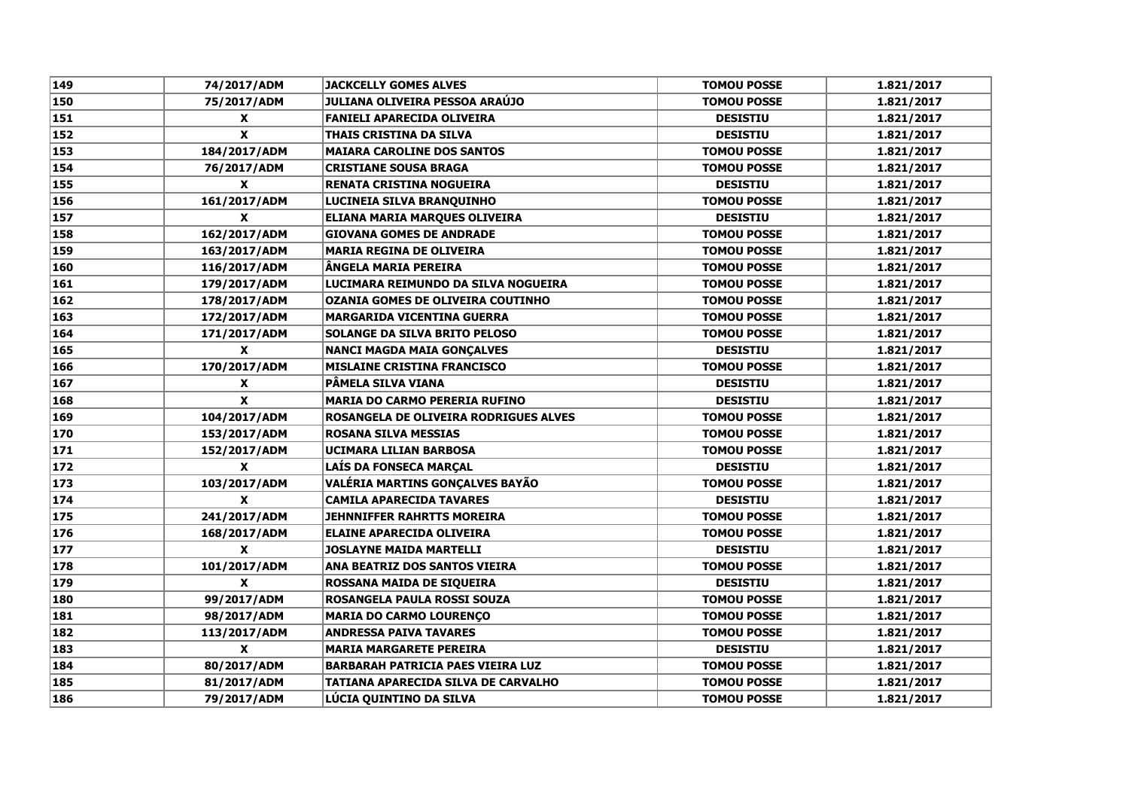| 149 | 74/2017/ADM        | <b>JACKCELLY GOMES ALVES</b>             | <b>TOMOU POSSE</b> | 1.821/2017 |
|-----|--------------------|------------------------------------------|--------------------|------------|
| 150 | 75/2017/ADM        | JULIANA OLIVEIRA PESSOA ARAÚJO           | <b>TOMOU POSSE</b> | 1.821/2017 |
| 151 | X                  | <b>FANIELI APARECIDA OLIVEIRA</b>        | <b>DESISTIU</b>    | 1.821/2017 |
| 152 | $\pmb{\mathsf{x}}$ | <b>THAIS CRISTINA DA SILVA</b>           | <b>DESISTIU</b>    | 1.821/2017 |
| 153 | 184/2017/ADM       | <b>MAIARA CAROLINE DOS SANTOS</b>        | <b>TOMOU POSSE</b> | 1.821/2017 |
| 154 | 76/2017/ADM        | <b>CRISTIANE SOUSA BRAGA</b>             | <b>TOMOU POSSE</b> | 1.821/2017 |
| 155 | X                  | <b>RENATA CRISTINA NOGUEIRA</b>          | <b>DESISTIU</b>    | 1.821/2017 |
| 156 | 161/2017/ADM       | LUCINEIA SILVA BRANQUINHO                | <b>TOMOU POSSE</b> | 1.821/2017 |
| 157 | X                  | <b>ELIANA MARIA MARQUES OLIVEIRA</b>     | <b>DESISTIU</b>    | 1.821/2017 |
| 158 | 162/2017/ADM       | <b>GIOVANA GOMES DE ANDRADE</b>          | <b>TOMOU POSSE</b> | 1.821/2017 |
| 159 | 163/2017/ADM       | <b>MARIA REGINA DE OLIVEIRA</b>          | <b>TOMOU POSSE</b> | 1.821/2017 |
| 160 | 116/2017/ADM       | ÄNGELA MARIA PEREIRA                     | <b>TOMOU POSSE</b> | 1.821/2017 |
| 161 | 179/2017/ADM       | LUCIMARA REIMUNDO DA SILVA NOGUEIRA      | <b>TOMOU POSSE</b> | 1.821/2017 |
| 162 | 178/2017/ADM       | <b>OZANIA GOMES DE OLIVEIRA COUTINHO</b> | <b>TOMOU POSSE</b> | 1.821/2017 |
| 163 | 172/2017/ADM       | <b>MARGARIDA VICENTINA GUERRA</b>        | <b>TOMOU POSSE</b> | 1.821/2017 |
| 164 | 171/2017/ADM       | <b>SOLANGE DA SILVA BRITO PELOSO</b>     | <b>TOMOU POSSE</b> | 1.821/2017 |
| 165 | $\mathbf{x}$       | <b>NANCI MAGDA MAIA GONÇALVES</b>        | <b>DESISTIU</b>    | 1.821/2017 |
| 166 | 170/2017/ADM       | <b>MISLAINE CRISTINA FRANCISCO</b>       | <b>TOMOU POSSE</b> | 1.821/2017 |
| 167 | X                  | PÂMELA SILVA VIANA                       | <b>DESISTIU</b>    | 1.821/2017 |
| 168 | X                  | <b>MARIA DO CARMO PERERIA RUFINO</b>     | <b>DESISTIU</b>    | 1.821/2017 |
| 169 | 104/2017/ADM       | ROSANGELA DE OLIVEIRA RODRIGUES ALVES    | <b>TOMOU POSSE</b> | 1.821/2017 |
| 170 | 153/2017/ADM       | <b>ROSANA SILVA MESSIAS</b>              | <b>TOMOU POSSE</b> | 1.821/2017 |
| 171 | 152/2017/ADM       | UCIMARA LILIAN BARBOSA                   | <b>TOMOU POSSE</b> | 1.821/2017 |
| 172 | X                  | LAÍS DA FONSECA MARÇAL                   | <b>DESISTIU</b>    | 1.821/2017 |
| 173 | 103/2017/ADM       | <b>VALÉRIA MARTINS GONÇALVES BAYÃO</b>   | <b>TOMOU POSSE</b> | 1.821/2017 |
| 174 | X                  | <b>CAMILA APARECIDA TAVARES</b>          | <b>DESISTIU</b>    | 1.821/2017 |
| 175 | 241/2017/ADM       | <b>JEHNNIFFER RAHRTTS MOREIRA</b>        | <b>TOMOU POSSE</b> | 1.821/2017 |
| 176 | 168/2017/ADM       | <b>ELAINE APARECIDA OLIVEIRA</b>         | <b>TOMOU POSSE</b> | 1.821/2017 |
| 177 | X                  | <b>JOSLAYNE MAIDA MARTELLI</b>           | <b>DESISTIU</b>    | 1.821/2017 |
| 178 | 101/2017/ADM       | ANA BEATRIZ DOS SANTOS VIEIRA            | <b>TOMOU POSSE</b> | 1.821/2017 |
| 179 | $\pmb{\mathsf{x}}$ | <b>ROSSANA MAIDA DE SIQUEIRA</b>         | <b>DESISTIU</b>    | 1.821/2017 |
| 180 | 99/2017/ADM        | ROSANGELA PAULA ROSSI SOUZA              | <b>TOMOU POSSE</b> | 1.821/2017 |
| 181 | 98/2017/ADM        | <b>MARIA DO CARMO LOURENÇO</b>           | <b>TOMOU POSSE</b> | 1.821/2017 |
| 182 | 113/2017/ADM       | <b>ANDRESSA PAIVA TAVARES</b>            | <b>TOMOU POSSE</b> | 1.821/2017 |
| 183 | X                  | <b>MARIA MARGARETE PEREIRA</b>           | <b>DESISTIU</b>    | 1.821/2017 |
| 184 | 80/2017/ADM        | <b>BARBARAH PATRICIA PAES VIEIRA LUZ</b> | <b>TOMOU POSSE</b> | 1.821/2017 |
| 185 | 81/2017/ADM        | TATIANA APARECIDA SILVA DE CARVALHO      | <b>TOMOU POSSE</b> | 1.821/2017 |
| 186 | 79/2017/ADM        | LÚCIA QUINTINO DA SILVA                  | <b>TOMOU POSSE</b> | 1.821/2017 |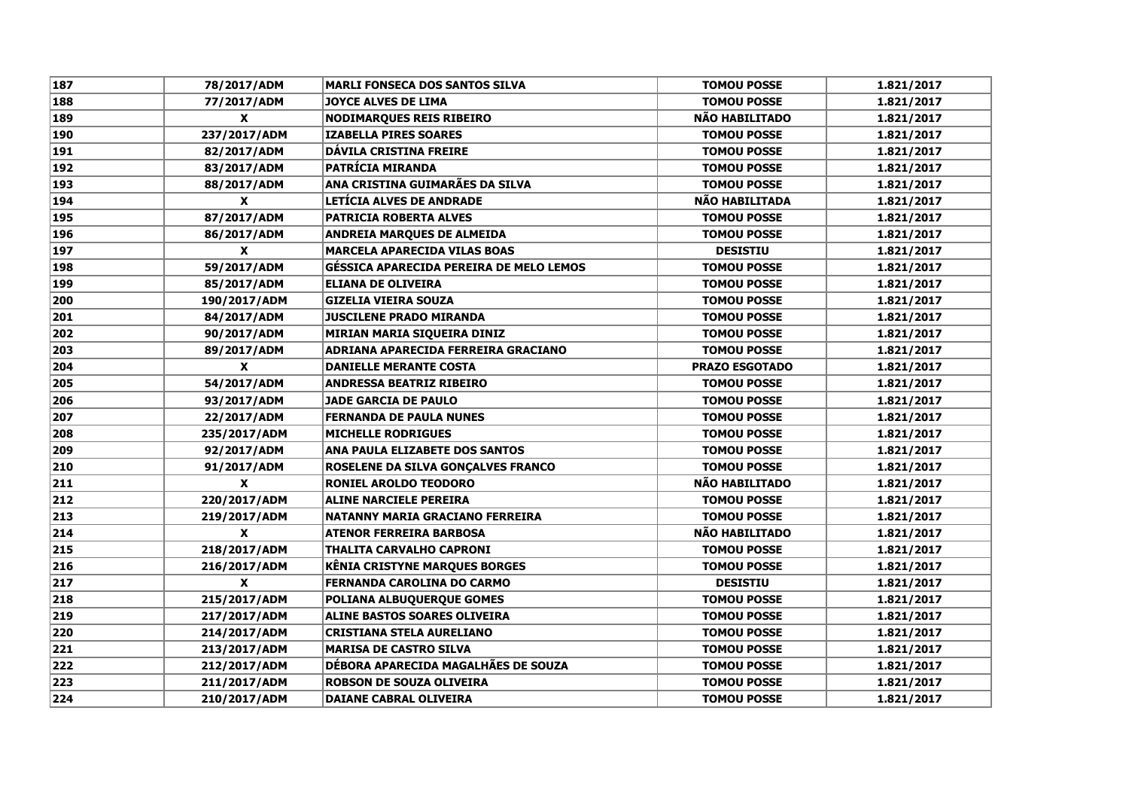| 187 | 78/2017/ADM  | <b>MARLI FONSECA DOS SANTOS SILVA</b>          | <b>TOMOU POSSE</b>    | 1.821/2017 |
|-----|--------------|------------------------------------------------|-----------------------|------------|
| 188 | 77/2017/ADM  | JOYCE ALVES DE LIMA                            | <b>TOMOU POSSE</b>    | 1.821/2017 |
| 189 | X            | <b>NODIMARQUES REIS RIBEIRO</b>                | NÃO HABILITADO        | 1.821/2017 |
| 190 | 237/2017/ADM | <b>IZABELLA PIRES SOARES</b>                   | <b>TOMOU POSSE</b>    | 1.821/2017 |
| 191 | 82/2017/ADM  | <b>DÁVILA CRISTINA FREIRE</b>                  | <b>TOMOU POSSE</b>    | 1.821/2017 |
| 192 | 83/2017/ADM  | <b>PATRÍCIA MIRANDA</b>                        | <b>TOMOU POSSE</b>    | 1.821/2017 |
| 193 | 88/2017/ADM  | ANA CRISTINA GUIMARÃES DA SILVA                | <b>TOMOU POSSE</b>    | 1.821/2017 |
| 194 | X            | LETÍCIA ALVES DE ANDRADE                       | <b>NÃO HABILITADA</b> | 1.821/2017 |
| 195 | 87/2017/ADM  | <b>PATRICIA ROBERTA ALVES</b>                  | <b>TOMOU POSSE</b>    | 1.821/2017 |
| 196 | 86/2017/ADM  | <b>ANDREIA MARQUES DE ALMEIDA</b>              | <b>TOMOU POSSE</b>    | 1.821/2017 |
| 197 | X            | <b>MARCELA APARECIDA VILAS BOAS</b>            | <b>DESISTIU</b>       | 1.821/2017 |
| 198 | 59/2017/ADM  | <b>GÉSSICA APARECIDA PEREIRA DE MELO LEMOS</b> | <b>TOMOU POSSE</b>    | 1.821/2017 |
| 199 | 85/2017/ADM  | <b>ELIANA DE OLIVEIRA</b>                      | <b>TOMOU POSSE</b>    | 1.821/2017 |
| 200 | 190/2017/ADM | <b>GIZELIA VIEIRA SOUZA</b>                    | <b>TOMOU POSSE</b>    | 1.821/2017 |
| 201 | 84/2017/ADM  | <b>JUSCILENE PRADO MIRANDA</b>                 | <b>TOMOU POSSE</b>    | 1.821/2017 |
| 202 | 90/2017/ADM  | MIRIAN MARIA SIQUEIRA DINIZ                    | <b>TOMOU POSSE</b>    | 1.821/2017 |
| 203 | 89/2017/ADM  | <b>ADRIANA APARECIDA FERREIRA GRACIANO</b>     | <b>TOMOU POSSE</b>    | 1.821/2017 |
| 204 | $\mathbf{x}$ | <b>DANIELLE MERANTE COSTA</b>                  | <b>PRAZO ESGOTADO</b> | 1.821/2017 |
| 205 | 54/2017/ADM  | <b>ANDRESSA BEATRIZ RIBEIRO</b>                | <b>TOMOU POSSE</b>    | 1.821/2017 |
| 206 | 93/2017/ADM  | <b>JADE GARCIA DE PAULO</b>                    | <b>TOMOU POSSE</b>    | 1.821/2017 |
| 207 | 22/2017/ADM  | <b>FERNANDA DE PAULA NUNES</b>                 | <b>TOMOU POSSE</b>    | 1.821/2017 |
| 208 | 235/2017/ADM | <b>MICHELLE RODRIGUES</b>                      | <b>TOMOU POSSE</b>    | 1.821/2017 |
| 209 | 92/2017/ADM  | ANA PAULA ELIZABETE DOS SANTOS                 | <b>TOMOU POSSE</b>    | 1.821/2017 |
| 210 | 91/2017/ADM  | <b>ROSELENE DA SILVA GONÇALVES FRANCO</b>      | <b>TOMOU POSSE</b>    | 1.821/2017 |
| 211 | X            | <b>RONIEL AROLDO TEODORO</b>                   | <b>NÃO HABILITADO</b> | 1.821/2017 |
| 212 | 220/2017/ADM | <b>ALINE NARCIELE PEREIRA</b>                  | <b>TOMOU POSSE</b>    | 1.821/2017 |
| 213 | 219/2017/ADM | NATANNY MARIA GRACIANO FERREIRA                | <b>TOMOU POSSE</b>    | 1.821/2017 |
| 214 | X            | <b>ATENOR FERREIRA BARBOSA</b>                 | <b>NÃO HABILITADO</b> | 1.821/2017 |
| 215 | 218/2017/ADM | <b>THALITA CARVALHO CAPRONI</b>                | <b>TOMOU POSSE</b>    | 1.821/2017 |
| 216 | 216/2017/ADM | <b>KÊNIA CRISTYNE MARQUES BORGES</b>           | <b>TOMOU POSSE</b>    | 1.821/2017 |
| 217 | X            | <b>FERNANDA CAROLINA DO CARMO</b>              | <b>DESISTIU</b>       | 1.821/2017 |
| 218 | 215/2017/ADM | POLIANA ALBUQUERQUE GOMES                      | <b>TOMOU POSSE</b>    | 1.821/2017 |
| 219 | 217/2017/ADM | <b>ALINE BASTOS SOARES OLIVEIRA</b>            | <b>TOMOU POSSE</b>    | 1.821/2017 |
| 220 | 214/2017/ADM | <b>CRISTIANA STELA AURELIANO</b>               | <b>TOMOU POSSE</b>    | 1.821/2017 |
| 221 | 213/2017/ADM | <b>MARISA DE CASTRO SILVA</b>                  | <b>TOMOU POSSE</b>    | 1.821/2017 |
| 222 | 212/2017/ADM | DÉBORA APARECIDA MAGALHÃES DE SOUZA            | <b>TOMOU POSSE</b>    | 1.821/2017 |
| 223 | 211/2017/ADM | <b>ROBSON DE SOUZA OLIVEIRA</b>                | <b>TOMOU POSSE</b>    | 1.821/2017 |
| 224 | 210/2017/ADM | <b>DAIANE CABRAL OLIVEIRA</b>                  | <b>TOMOU POSSE</b>    | 1.821/2017 |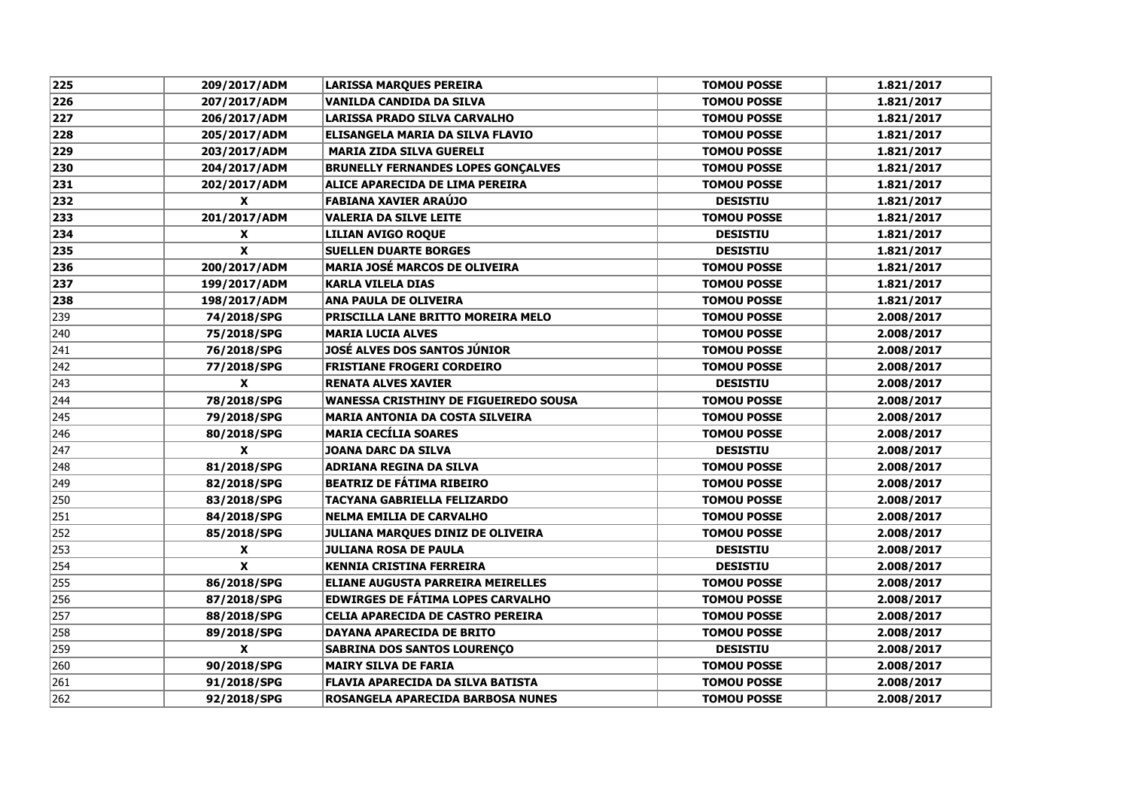| 225 | 209/2017/ADM              | <b>LARISSA MARQUES PEREIRA</b>               | <b>TOMOU POSSE</b> | 1.821/2017 |
|-----|---------------------------|----------------------------------------------|--------------------|------------|
| 226 | 207/2017/ADM              | VANILDA CANDIDA DA SILVA                     | <b>TOMOU POSSE</b> | 1.821/2017 |
| 227 | 206/2017/ADM              | LARISSA PRADO SILVA CARVALHO                 | <b>TOMOU POSSE</b> | 1.821/2017 |
| 228 | 205/2017/ADM              | ELISANGELA MARIA DA SILVA FLAVIO             | <b>TOMOU POSSE</b> | 1.821/2017 |
| 229 | 203/2017/ADM              | <b>MARIA ZIDA SILVA GUERELI</b>              | <b>TOMOU POSSE</b> | 1.821/2017 |
| 230 | 204/2017/ADM              | <b>BRUNELLY FERNANDES LOPES GONCALVES</b>    | <b>TOMOU POSSE</b> | 1.821/2017 |
| 231 | 202/2017/ADM              | ALICE APARECIDA DE LIMA PEREIRA              | <b>TOMOU POSSE</b> | 1.821/2017 |
| 232 | $\mathbf{x}$              | <b>FABIANA XAVIER ARAÚJO</b>                 | <b>DESISTIU</b>    | 1.821/2017 |
| 233 | 201/2017/ADM              | <b>VALERIA DA SILVE LEITE</b>                | <b>TOMOU POSSE</b> | 1.821/2017 |
| 234 | $\boldsymbol{\mathsf{x}}$ | <b>LILIAN AVIGO ROQUE</b>                    | <b>DESISTIU</b>    | 1.821/2017 |
| 235 | $\pmb{\chi}$              | <b>SUELLEN DUARTE BORGES</b>                 | <b>DESISTIU</b>    | 1.821/2017 |
| 236 | 200/2017/ADM              | <b>MARIA JOSÉ MARCOS DE OLIVEIRA</b>         | <b>TOMOU POSSE</b> | 1.821/2017 |
| 237 | 199/2017/ADM              | <b>KARLA VILELA DIAS</b>                     | <b>TOMOU POSSE</b> | 1.821/2017 |
| 238 | 198/2017/ADM              | <b>ANA PAULA DE OLIVEIRA</b>                 | <b>TOMOU POSSE</b> | 1.821/2017 |
| 239 | 74/2018/SPG               | PRISCILLA LANE BRITTO MOREIRA MELO           | <b>TOMOU POSSE</b> | 2.008/2017 |
| 240 | 75/2018/SPG               | <b>MARIA LUCIA ALVES</b>                     | <b>TOMOU POSSE</b> | 2.008/2017 |
| 241 | 76/2018/SPG               | <b>JOSÉ ALVES DOS SANTOS JÚNIOR</b>          | <b>TOMOU POSSE</b> | 2.008/2017 |
| 242 | 77/2018/SPG               | <b>FRISTIANE FROGERI CORDEIRO</b>            | <b>TOMOU POSSE</b> | 2.008/2017 |
| 243 | $\boldsymbol{x}$          | <b>RENATA ALVES XAVIER</b>                   | <b>DESISTIU</b>    | 2.008/2017 |
| 244 | 78/2018/SPG               | <b>WANESSA CRISTHINY DE FIGUEIREDO SOUSA</b> | <b>TOMOU POSSE</b> | 2.008/2017 |
| 245 | 79/2018/SPG               | <b>MARIA ANTONIA DA COSTA SILVEIRA</b>       | <b>TOMOU POSSE</b> | 2.008/2017 |
| 246 | 80/2018/SPG               | <b>MARIA CECÍLIA SOARES</b>                  | <b>TOMOU POSSE</b> | 2.008/2017 |
| 247 | $\boldsymbol{x}$          | <b>JOANA DARC DA SILVA</b>                   | <b>DESISTIU</b>    | 2.008/2017 |
| 248 | 81/2018/SPG               | <b>ADRIANA REGINA DA SILVA</b>               | <b>TOMOU POSSE</b> | 2.008/2017 |
| 249 | 82/2018/SPG               | <b>BEATRIZ DE FÁTIMA RIBEIRO</b>             | <b>TOMOU POSSE</b> | 2.008/2017 |
| 250 | 83/2018/SPG               | <b>TACYANA GABRIELLA FELIZARDO</b>           | <b>TOMOU POSSE</b> | 2.008/2017 |
| 251 | 84/2018/SPG               | <b>NELMA EMILIA DE CARVALHO</b>              | <b>TOMOU POSSE</b> | 2.008/2017 |
| 252 | 85/2018/SPG               | JULIANA MARQUES DINIZ DE OLIVEIRA            | <b>TOMOU POSSE</b> | 2.008/2017 |
| 253 | X                         | <b>JULIANA ROSA DE PAULA</b>                 | <b>DESISTIU</b>    | 2.008/2017 |
| 254 | X                         | <b>KENNIA CRISTINA FERREIRA</b>              | <b>DESISTIU</b>    | 2.008/2017 |
| 255 | 86/2018/SPG               | <b>ELIANE AUGUSTA PARREIRA MEIRELLES</b>     | <b>TOMOU POSSE</b> | 2.008/2017 |
| 256 | 87/2018/SPG               | <b>EDWIRGES DE FATIMA LOPES CARVALHO</b>     | <b>TOMOU POSSE</b> | 2.008/2017 |
| 257 | 88/2018/SPG               | CELIA APARECIDA DE CASTRO PEREIRA            | <b>TOMOU POSSE</b> | 2.008/2017 |
| 258 | 89/2018/SPG               | <b>DAYANA APARECIDA DE BRITO</b>             | <b>TOMOU POSSE</b> | 2.008/2017 |
| 259 | $\boldsymbol{x}$          | <b>SABRINA DOS SANTOS LOURENÇO</b>           | <b>DESISTIU</b>    | 2.008/2017 |
| 260 | 90/2018/SPG               | <b>MAIRY SILVA DE FARIA</b>                  | <b>TOMOU POSSE</b> | 2.008/2017 |
| 261 | 91/2018/SPG               | <b>FLAVIA APARECIDA DA SILVA BATISTA</b>     | <b>TOMOU POSSE</b> | 2.008/2017 |
| 262 | 92/2018/SPG               | ROSANGELA APARECIDA BARBOSA NUNES            | <b>TOMOU POSSE</b> | 2.008/2017 |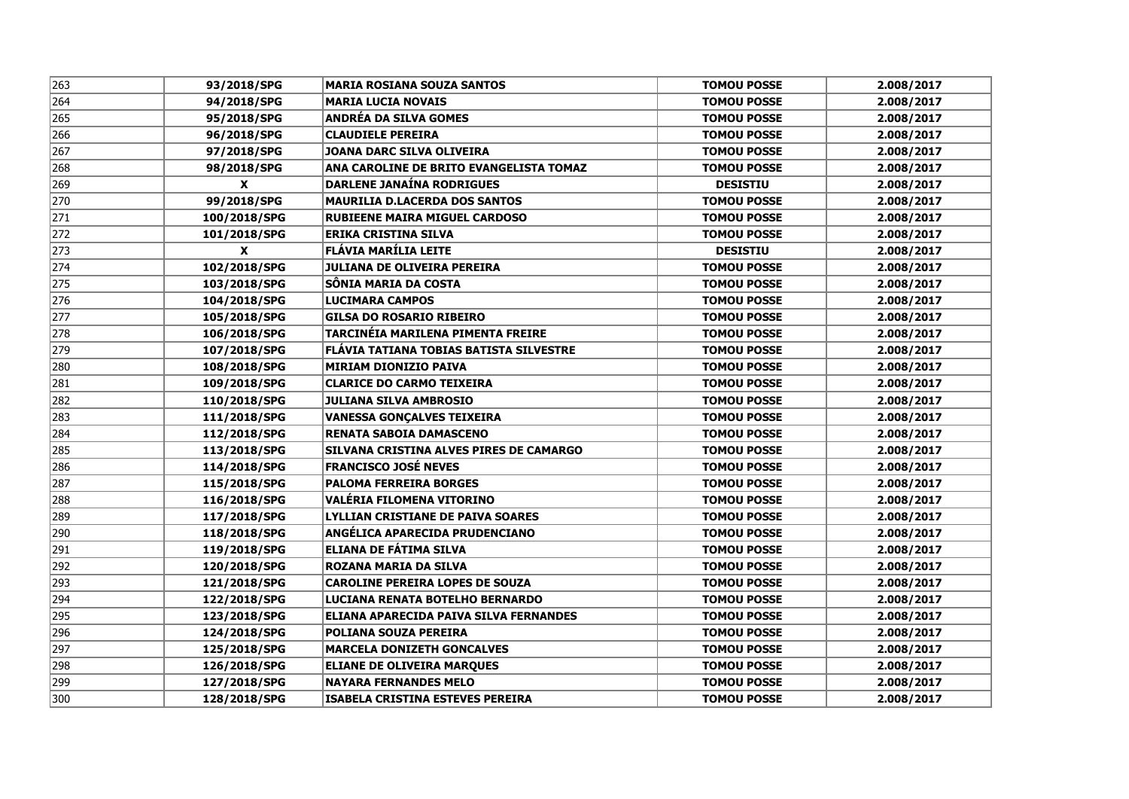| 263 | 93/2018/SPG      | <b>MARIA ROSIANA SOUZA SANTOS</b>        | <b>TOMOU POSSE</b> | 2.008/2017 |
|-----|------------------|------------------------------------------|--------------------|------------|
| 264 | 94/2018/SPG      | <b>MARIA LUCIA NOVAIS</b>                | <b>TOMOU POSSE</b> | 2.008/2017 |
| 265 | 95/2018/SPG      | <b>ANDRÉA DA SILVA GOMES</b>             | <b>TOMOU POSSE</b> | 2.008/2017 |
| 266 | 96/2018/SPG      | <b>CLAUDIELE PEREIRA</b>                 | <b>TOMOU POSSE</b> | 2.008/2017 |
| 267 | 97/2018/SPG      | JOANA DARC SILVA OLIVEIRA                | <b>TOMOU POSSE</b> | 2.008/2017 |
| 268 | 98/2018/SPG      | ANA CAROLINE DE BRITO EVANGELISTA TOMAZ  | <b>TOMOU POSSE</b> | 2.008/2017 |
| 269 | $\mathbf{x}$     | <b>DARLENE JANAÍNA RODRIGUES</b>         | <b>DESISTIU</b>    | 2.008/2017 |
| 270 | 99/2018/SPG      | <b>MAURILIA D.LACERDA DOS SANTOS</b>     | <b>TOMOU POSSE</b> | 2.008/2017 |
| 271 | 100/2018/SPG     | <b>RUBIEENE MAIRA MIGUEL CARDOSO</b>     | <b>TOMOU POSSE</b> | 2.008/2017 |
| 272 | 101/2018/SPG     | <b>ERIKA CRISTINA SILVA</b>              | <b>TOMOU POSSE</b> | 2.008/2017 |
| 273 | $\boldsymbol{x}$ | FLÁVIA MARÍLIA LEITE                     | <b>DESISTIU</b>    | 2.008/2017 |
| 274 | 102/2018/SPG     | JULIANA DE OLIVEIRA PEREIRA              | <b>TOMOU POSSE</b> | 2.008/2017 |
| 275 | 103/2018/SPG     | SÔNIA MARIA DA COSTA                     | <b>TOMOU POSSE</b> | 2.008/2017 |
| 276 | 104/2018/SPG     | <b>LUCIMARA CAMPOS</b>                   | <b>TOMOU POSSE</b> | 2.008/2017 |
| 277 | 105/2018/SPG     | <b>GILSA DO ROSARIO RIBEIRO</b>          | <b>TOMOU POSSE</b> | 2.008/2017 |
| 278 | 106/2018/SPG     | <b>TARCINÉIA MARILENA PIMENTA FREIRE</b> | <b>TOMOU POSSE</b> | 2.008/2017 |
| 279 | 107/2018/SPG     | FLÁVIA TATIANA TOBIAS BATISTA SILVESTRE  | <b>TOMOU POSSE</b> | 2.008/2017 |
| 280 | 108/2018/SPG     | <b>MIRIAM DIONIZIO PAIVA</b>             | <b>TOMOU POSSE</b> | 2.008/2017 |
| 281 | 109/2018/SPG     | <b>CLARICE DO CARMO TEIXEIRA</b>         | <b>TOMOU POSSE</b> | 2.008/2017 |
| 282 | 110/2018/SPG     | <b>JULIANA SILVA AMBROSIO</b>            | <b>TOMOU POSSE</b> | 2.008/2017 |
| 283 | 111/2018/SPG     | <b>VANESSA GONÇALVES TEIXEIRA</b>        | <b>TOMOU POSSE</b> | 2.008/2017 |
| 284 | 112/2018/SPG     | <b>RENATA SABOIA DAMASCENO</b>           | <b>TOMOU POSSE</b> | 2.008/2017 |
| 285 | 113/2018/SPG     | SILVANA CRISTINA ALVES PIRES DE CAMARGO  | <b>TOMOU POSSE</b> | 2.008/2017 |
| 286 | 114/2018/SPG     | <b>FRANCISCO JOSÉ NEVES</b>              | <b>TOMOU POSSE</b> | 2.008/2017 |
| 287 | 115/2018/SPG     | <b>PALOMA FERREIRA BORGES</b>            | <b>TOMOU POSSE</b> | 2.008/2017 |
| 288 | 116/2018/SPG     | VALÉRIA FILOMENA VITORINO                | <b>TOMOU POSSE</b> | 2.008/2017 |
| 289 | 117/2018/SPG     | LYLLIAN CRISTIANE DE PAIVA SOARES        | <b>TOMOU POSSE</b> | 2.008/2017 |
| 290 | 118/2018/SPG     | ANGÉLICA APARECIDA PRUDENCIANO           | <b>TOMOU POSSE</b> | 2.008/2017 |
| 291 | 119/2018/SPG     | ELIANA DE FÁTIMA SILVA                   | <b>TOMOU POSSE</b> | 2.008/2017 |
| 292 | 120/2018/SPG     | ROZANA MARIA DA SILVA                    | <b>TOMOU POSSE</b> | 2.008/2017 |
| 293 | 121/2018/SPG     | <b>CAROLINE PEREIRA LOPES DE SOUZA</b>   | <b>TOMOU POSSE</b> | 2.008/2017 |
| 294 | 122/2018/SPG     | LUCIANA RENATA BOTELHO BERNARDO          | <b>TOMOU POSSE</b> | 2.008/2017 |
| 295 | 123/2018/SPG     | ELIANA APARECIDA PAIVA SILVA FERNANDES   | <b>TOMOU POSSE</b> | 2.008/2017 |
| 296 | 124/2018/SPG     | <b>POLIANA SOUZA PEREIRA</b>             | <b>TOMOU POSSE</b> | 2.008/2017 |
| 297 | 125/2018/SPG     | <b>MARCELA DONIZETH GONCALVES</b>        | <b>TOMOU POSSE</b> | 2.008/2017 |
| 298 | 126/2018/SPG     | <b>ELIANE DE OLIVEIRA MARQUES</b>        | <b>TOMOU POSSE</b> | 2.008/2017 |
| 299 | 127/2018/SPG     | <b>NAYARA FERNANDES MELO</b>             | <b>TOMOU POSSE</b> | 2.008/2017 |
| 300 | 128/2018/SPG     | <b>ISABELA CRISTINA ESTEVES PEREIRA</b>  | <b>TOMOU POSSE</b> | 2.008/2017 |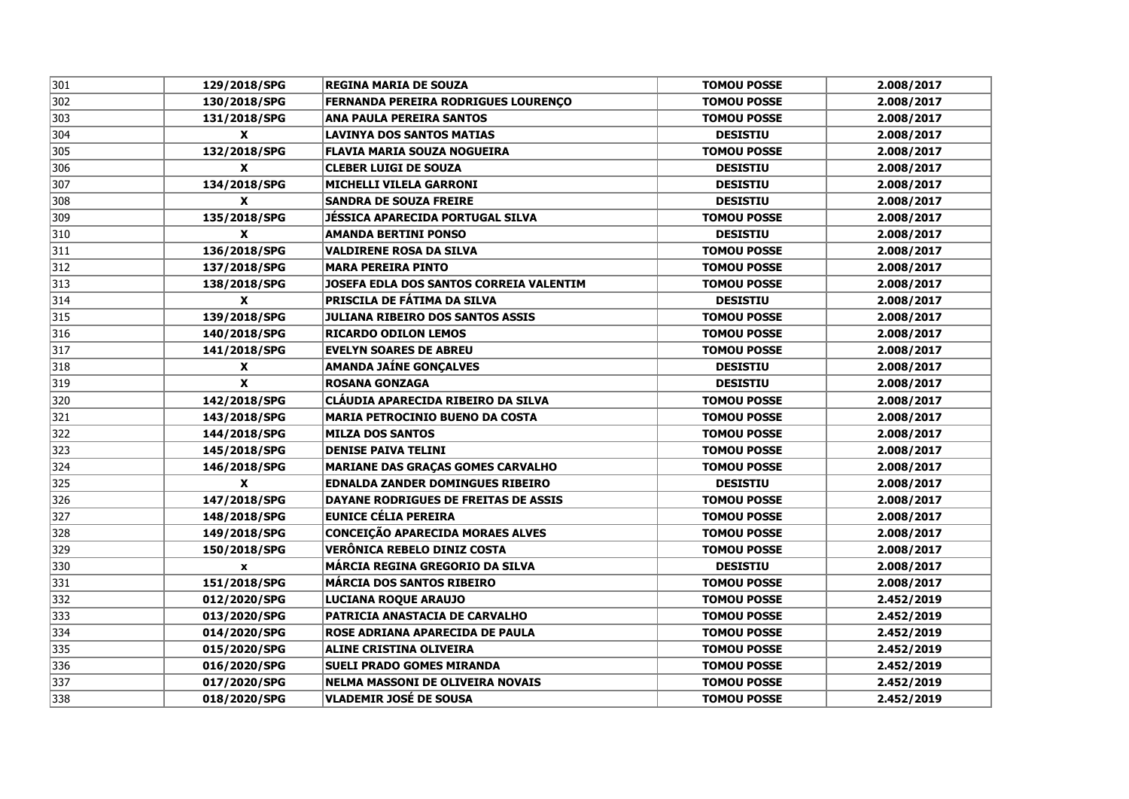| 301 | 129/2018/SPG              | <b>REGINA MARIA DE SOUZA</b>             | <b>TOMOU POSSE</b> | 2.008/2017 |
|-----|---------------------------|------------------------------------------|--------------------|------------|
| 302 | 130/2018/SPG              | FERNANDA PEREIRA RODRIGUES LOURENÇO      | <b>TOMOU POSSE</b> | 2.008/2017 |
| 303 | 131/2018/SPG              | <b>ANA PAULA PEREIRA SANTOS</b>          | <b>TOMOU POSSE</b> | 2.008/2017 |
| 304 | $\mathbf{x}$              | <b>LAVINYA DOS SANTOS MATIAS</b>         | <b>DESISTIU</b>    | 2.008/2017 |
| 305 | 132/2018/SPG              | FLAVIA MARIA SOUZA NOGUEIRA              | <b>TOMOU POSSE</b> | 2.008/2017 |
| 306 | $\mathbf{x}$              | <b>CLEBER LUIGI DE SOUZA</b>             | <b>DESISTIU</b>    | 2.008/2017 |
| 307 | 134/2018/SPG              | <b>MICHELLI VILELA GARRONI</b>           | <b>DESISTIU</b>    | 2.008/2017 |
| 308 | $\mathbf{x}$              | <b>SANDRA DE SOUZA FREIRE</b>            | <b>DESISTIU</b>    | 2.008/2017 |
| 309 | 135/2018/SPG              | JÉSSICA APARECIDA PORTUGAL SILVA         | <b>TOMOU POSSE</b> | 2.008/2017 |
| 310 | X                         | <b>AMANDA BERTINI PONSO</b>              | <b>DESISTIU</b>    | 2.008/2017 |
| 311 | 136/2018/SPG              | <b>VALDIRENE ROSA DA SILVA</b>           | <b>TOMOU POSSE</b> | 2.008/2017 |
| 312 | 137/2018/SPG              | <b>MARA PEREIRA PINTO</b>                | <b>TOMOU POSSE</b> | 2.008/2017 |
| 313 | 138/2018/SPG              | JOSEFA EDLA DOS SANTOS CORREIA VALENTIM  | <b>TOMOU POSSE</b> | 2.008/2017 |
| 314 | $\boldsymbol{\mathsf{x}}$ | <b>PRISCILA DE FÁTIMA DA SILVA</b>       | <b>DESISTIU</b>    | 2.008/2017 |
| 315 | 139/2018/SPG              | JULIANA RIBEIRO DOS SANTOS ASSIS         | <b>TOMOU POSSE</b> | 2.008/2017 |
| 316 | 140/2018/SPG              | <b>RICARDO ODILON LEMOS</b>              | <b>TOMOU POSSE</b> | 2.008/2017 |
| 317 | 141/2018/SPG              | <b>EVELYN SOARES DE ABREU</b>            | <b>TOMOU POSSE</b> | 2.008/2017 |
| 318 | X                         | <b>AMANDA JAÍNE GONÇALVES</b>            | <b>DESISTIU</b>    | 2.008/2017 |
| 319 | $\boldsymbol{x}$          | <b>ROSANA GONZAGA</b>                    | <b>DESISTIU</b>    | 2.008/2017 |
| 320 | 142/2018/SPG              | CLÁUDIA APARECIDA RIBEIRO DA SILVA       | <b>TOMOU POSSE</b> | 2.008/2017 |
| 321 | 143/2018/SPG              | <b>MARIA PETROCINIO BUENO DA COSTA</b>   | <b>TOMOU POSSE</b> | 2.008/2017 |
| 322 | 144/2018/SPG              | <b>MILZA DOS SANTOS</b>                  | <b>TOMOU POSSE</b> | 2.008/2017 |
| 323 | 145/2018/SPG              | <b>DENISE PAIVA TELINI</b>               | <b>TOMOU POSSE</b> | 2.008/2017 |
| 324 | 146/2018/SPG              | <b>MARIANE DAS GRAÇAS GOMES CARVALHO</b> | <b>TOMOU POSSE</b> | 2.008/2017 |
| 325 | X                         | <b>EDNALDA ZANDER DOMINGUES RIBEIRO</b>  | <b>DESISTIU</b>    | 2.008/2017 |
| 326 | 147/2018/SPG              | DAYANE RODRIGUES DE FREITAS DE ASSIS     | <b>TOMOU POSSE</b> | 2.008/2017 |
| 327 | 148/2018/SPG              | <b>EUNICE CÉLIA PEREIRA</b>              | <b>TOMOU POSSE</b> | 2.008/2017 |
| 328 | 149/2018/SPG              | <b>CONCEIÇÃO APARECIDA MORAES ALVES</b>  | <b>TOMOU POSSE</b> | 2.008/2017 |
| 329 | 150/2018/SPG              | VERÔNICA REBELO DINIZ COSTA              | <b>TOMOU POSSE</b> | 2.008/2017 |
| 330 | $\pmb{\mathsf{x}}$        | MÁRCIA REGINA GREGORIO DA SILVA          | <b>DESISTIU</b>    | 2.008/2017 |
| 331 | 151/2018/SPG              | <b>MARCIA DOS SANTOS RIBEIRO</b>         | <b>TOMOU POSSE</b> | 2.008/2017 |
| 332 | 012/2020/SPG              | LUCIANA ROQUE ARAUJO                     | <b>TOMOU POSSE</b> | 2.452/2019 |
| 333 | 013/2020/SPG              | PATRICIA ANASTACIA DE CARVALHO           | <b>TOMOU POSSE</b> | 2.452/2019 |
| 334 | 014/2020/SPG              | ROSE ADRIANA APARECIDA DE PAULA          | <b>TOMOU POSSE</b> | 2.452/2019 |
| 335 | 015/2020/SPG              | <b>ALINE CRISTINA OLIVEIRA</b>           | <b>TOMOU POSSE</b> | 2.452/2019 |
| 336 | 016/2020/SPG              | <b>SUELI PRADO GOMES MIRANDA</b>         | <b>TOMOU POSSE</b> | 2.452/2019 |
| 337 | 017/2020/SPG              | <b>NELMA MASSONI DE OLIVEIRA NOVAIS</b>  | <b>TOMOU POSSE</b> | 2.452/2019 |
| 338 | 018/2020/SPG              | <b>VLADEMIR JOSÉ DE SOUSA</b>            | <b>TOMOU POSSE</b> | 2.452/2019 |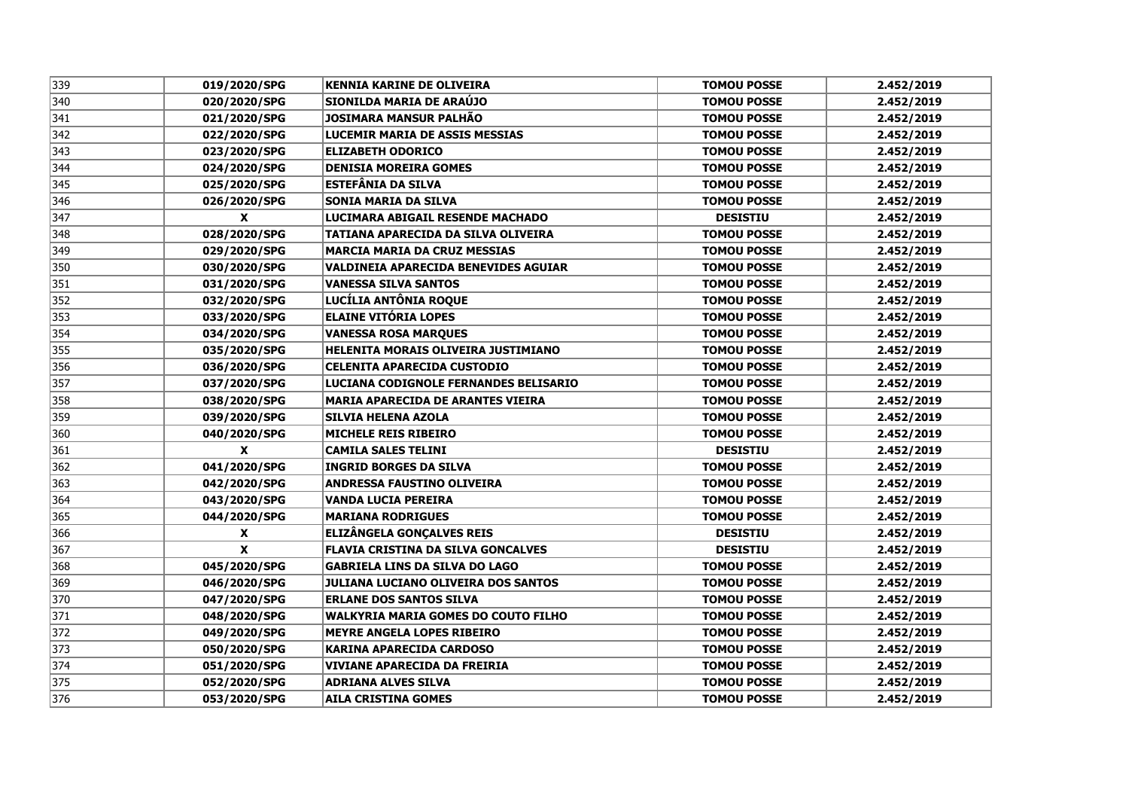| 339 | 019/2020/SPG | <b>KENNIA KARINE DE OLIVEIRA</b>            | <b>TOMOU POSSE</b> | 2.452/2019 |
|-----|--------------|---------------------------------------------|--------------------|------------|
| 340 | 020/2020/SPG | SIONILDA MARIA DE ARAÚJO                    | <b>TOMOU POSSE</b> | 2.452/2019 |
| 341 | 021/2020/SPG | <b>JOSIMARA MANSUR PALHÃO</b>               | <b>TOMOU POSSE</b> | 2.452/2019 |
| 342 | 022/2020/SPG | <b>LUCEMIR MARIA DE ASSIS MESSIAS</b>       | <b>TOMOU POSSE</b> | 2.452/2019 |
| 343 | 023/2020/SPG | <b>ELIZABETH ODORICO</b>                    | <b>TOMOU POSSE</b> | 2.452/2019 |
| 344 | 024/2020/SPG | <b>DENISIA MOREIRA GOMES</b>                | <b>TOMOU POSSE</b> | 2.452/2019 |
| 345 | 025/2020/SPG | ESTEFÂNIA DA SILVA                          | <b>TOMOU POSSE</b> | 2.452/2019 |
| 346 | 026/2020/SPG | <b>SONIA MARIA DA SILVA</b>                 | <b>TOMOU POSSE</b> | 2.452/2019 |
| 347 | X            | LUCIMARA ABIGAIL RESENDE MACHADO            | <b>DESISTIU</b>    | 2.452/2019 |
| 348 | 028/2020/SPG | TATIANA APARECIDA DA SILVA OLIVEIRA         | <b>TOMOU POSSE</b> | 2.452/2019 |
| 349 | 029/2020/SPG | <b>MARCIA MARIA DA CRUZ MESSIAS</b>         | <b>TOMOU POSSE</b> | 2.452/2019 |
| 350 | 030/2020/SPG | <b>VALDINEIA APARECIDA BENEVIDES AGUIAR</b> | <b>TOMOU POSSE</b> | 2.452/2019 |
| 351 | 031/2020/SPG | <b>VANESSA SILVA SANTOS</b>                 | <b>TOMOU POSSE</b> | 2.452/2019 |
| 352 | 032/2020/SPG | LUCÍLIA ANTÔNIA ROQUE                       | <b>TOMOU POSSE</b> | 2.452/2019 |
| 353 | 033/2020/SPG | <b>ELAINE VITÓRIA LOPES</b>                 | <b>TOMOU POSSE</b> | 2.452/2019 |
| 354 | 034/2020/SPG | <b>VANESSA ROSA MARQUES</b>                 | <b>TOMOU POSSE</b> | 2.452/2019 |
| 355 | 035/2020/SPG | HELENITA MORAIS OLIVEIRA JUSTIMIANO         | <b>TOMOU POSSE</b> | 2.452/2019 |
| 356 | 036/2020/SPG | <b>CELENITA APARECIDA CUSTODIO</b>          | <b>TOMOU POSSE</b> | 2.452/2019 |
| 357 | 037/2020/SPG | LUCIANA CODIGNOLE FERNANDES BELISARIO       | <b>TOMOU POSSE</b> | 2.452/2019 |
| 358 | 038/2020/SPG | <b>MARIA APARECIDA DE ARANTES VIEIRA</b>    | <b>TOMOU POSSE</b> | 2.452/2019 |
| 359 | 039/2020/SPG | <b>SILVIA HELENA AZOLA</b>                  | <b>TOMOU POSSE</b> | 2.452/2019 |
| 360 | 040/2020/SPG | <b>MICHELE REIS RIBEIRO</b>                 | <b>TOMOU POSSE</b> | 2.452/2019 |
| 361 | X            | <b>CAMILA SALES TELINI</b>                  | <b>DESISTIU</b>    | 2.452/2019 |
| 362 | 041/2020/SPG | <b>INGRID BORGES DA SILVA</b>               | <b>TOMOU POSSE</b> | 2.452/2019 |
| 363 | 042/2020/SPG | <b>ANDRESSA FAUSTINO OLIVEIRA</b>           | <b>TOMOU POSSE</b> | 2.452/2019 |
| 364 | 043/2020/SPG | <b>VANDA LUCIA PEREIRA</b>                  | <b>TOMOU POSSE</b> | 2.452/2019 |
| 365 | 044/2020/SPG | <b>MARIANA RODRIGUES</b>                    | <b>TOMOU POSSE</b> | 2.452/2019 |
| 366 | X            | <b>ELIZÂNGELA GONÇALVES REIS</b>            | <b>DESISTIU</b>    | 2.452/2019 |
| 367 | X            | <b>FLAVIA CRISTINA DA SILVA GONCALVES</b>   | <b>DESISTIU</b>    | 2.452/2019 |
| 368 | 045/2020/SPG | <b>GABRIELA LINS DA SILVA DO LAGO</b>       | <b>TOMOU POSSE</b> | 2.452/2019 |
| 369 | 046/2020/SPG | <b>JULIANA LUCIANO OLIVEIRA DOS SANTOS</b>  | <b>TOMOU POSSE</b> | 2.452/2019 |
| 370 | 047/2020/SPG | <b>ERLANE DOS SANTOS SILVA</b>              | <b>TOMOU POSSE</b> | 2.452/2019 |
| 371 | 048/2020/SPG | <b>WALKYRIA MARIA GOMES DO COUTO FILHO</b>  | <b>TOMOU POSSE</b> | 2.452/2019 |
| 372 | 049/2020/SPG | <b>MEYRE ANGELA LOPES RIBEIRO</b>           | <b>TOMOU POSSE</b> | 2.452/2019 |
| 373 | 050/2020/SPG | <b>KARINA APARECIDA CARDOSO</b>             | <b>TOMOU POSSE</b> | 2.452/2019 |
| 374 | 051/2020/SPG | <b>VIVIANE APARECIDA DA FREIRIA</b>         | <b>TOMOU POSSE</b> | 2.452/2019 |
| 375 | 052/2020/SPG | <b>ADRIANA ALVES SILVA</b>                  | <b>TOMOU POSSE</b> | 2.452/2019 |
| 376 | 053/2020/SPG | <b>AILA CRISTINA GOMES</b>                  | <b>TOMOU POSSE</b> | 2.452/2019 |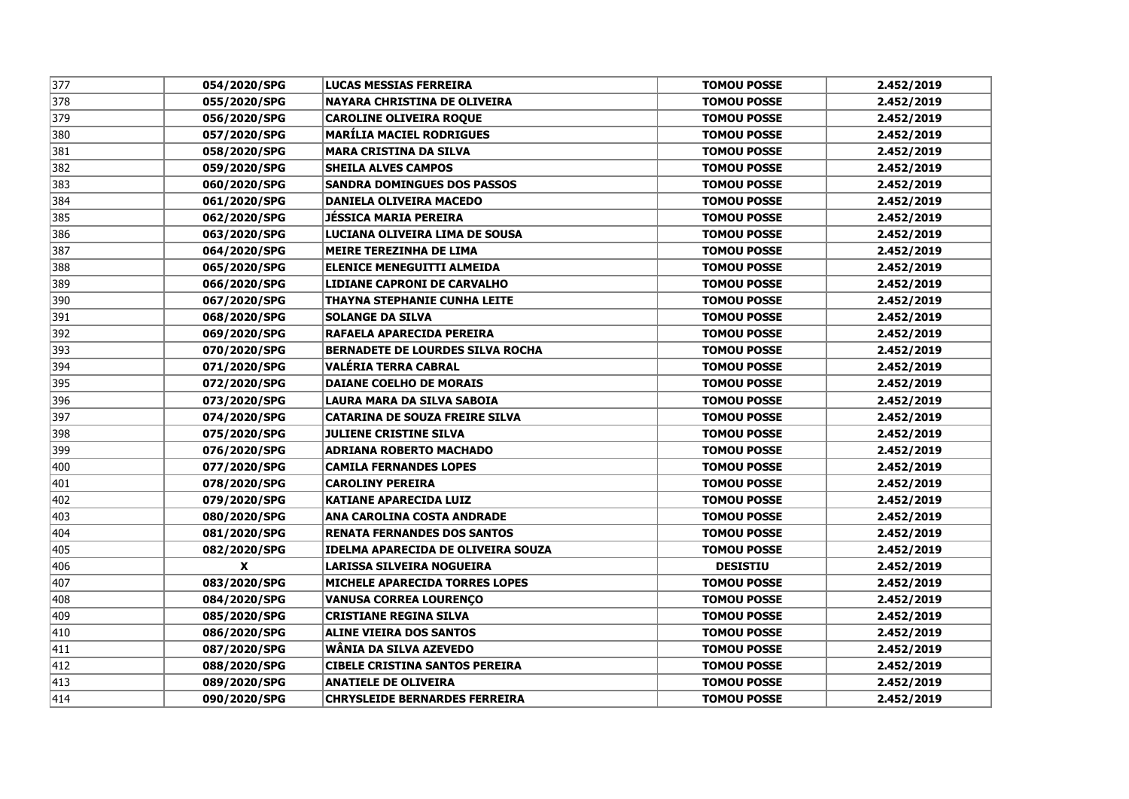| 377 | 054/2020/SPG | <b>LUCAS MESSIAS FERREIRA</b>             | <b>TOMOU POSSE</b> | 2.452/2019 |
|-----|--------------|-------------------------------------------|--------------------|------------|
| 378 | 055/2020/SPG | <b>NAYARA CHRISTINA DE OLIVEIRA</b>       | <b>TOMOU POSSE</b> | 2.452/2019 |
| 379 | 056/2020/SPG | <b>CAROLINE OLIVEIRA ROQUE</b>            | <b>TOMOU POSSE</b> | 2.452/2019 |
| 380 | 057/2020/SPG | <b>MARÍLIA MACIEL RODRIGUES</b>           | <b>TOMOU POSSE</b> | 2.452/2019 |
| 381 | 058/2020/SPG | <b>MARA CRISTINA DA SILVA</b>             | <b>TOMOU POSSE</b> | 2.452/2019 |
| 382 | 059/2020/SPG | <b>SHEILA ALVES CAMPOS</b>                | <b>TOMOU POSSE</b> | 2.452/2019 |
| 383 | 060/2020/SPG | <b>SANDRA DOMINGUES DOS PASSOS</b>        | <b>TOMOU POSSE</b> | 2.452/2019 |
| 384 | 061/2020/SPG | DANIELA OLIVEIRA MACEDO                   | <b>TOMOU POSSE</b> | 2.452/2019 |
| 385 | 062/2020/SPG | <b>JÉSSICA MARIA PEREIRA</b>              | <b>TOMOU POSSE</b> | 2.452/2019 |
| 386 | 063/2020/SPG | LUCIANA OLIVEIRA LIMA DE SOUSA            | <b>TOMOU POSSE</b> | 2.452/2019 |
| 387 | 064/2020/SPG | <b>MEIRE TEREZINHA DE LIMA</b>            | <b>TOMOU POSSE</b> | 2.452/2019 |
| 388 | 065/2020/SPG | <b>ELENICE MENEGUITTI ALMEIDA</b>         | <b>TOMOU POSSE</b> | 2.452/2019 |
| 389 | 066/2020/SPG | LIDIANE CAPRONI DE CARVALHO               | <b>TOMOU POSSE</b> | 2.452/2019 |
| 390 | 067/2020/SPG | <b>THAYNA STEPHANIE CUNHA LEITE</b>       | <b>TOMOU POSSE</b> | 2.452/2019 |
| 391 | 068/2020/SPG | <b>SOLANGE DA SILVA</b>                   | <b>TOMOU POSSE</b> | 2.452/2019 |
| 392 | 069/2020/SPG | RAFAELA APARECIDA PEREIRA                 | <b>TOMOU POSSE</b> | 2.452/2019 |
| 393 | 070/2020/SPG | <b>BERNADETE DE LOURDES SILVA ROCHA</b>   | <b>TOMOU POSSE</b> | 2.452/2019 |
| 394 | 071/2020/SPG | VALÉRIA TERRA CABRAL                      | <b>TOMOU POSSE</b> | 2.452/2019 |
| 395 | 072/2020/SPG | <b>DAIANE COELHO DE MORAIS</b>            | <b>TOMOU POSSE</b> | 2.452/2019 |
| 396 | 073/2020/SPG | LAURA MARA DA SILVA SABOIA                | <b>TOMOU POSSE</b> | 2.452/2019 |
| 397 | 074/2020/SPG | <b>CATARINA DE SOUZA FREIRE SILVA</b>     | <b>TOMOU POSSE</b> | 2.452/2019 |
| 398 | 075/2020/SPG | <b>JULIENE CRISTINE SILVA</b>             | <b>TOMOU POSSE</b> | 2.452/2019 |
| 399 | 076/2020/SPG | <b>ADRIANA ROBERTO MACHADO</b>            | <b>TOMOU POSSE</b> | 2.452/2019 |
| 400 | 077/2020/SPG | <b>CAMILA FERNANDES LOPES</b>             | <b>TOMOU POSSE</b> | 2.452/2019 |
| 401 | 078/2020/SPG | <b>CAROLINY PEREIRA</b>                   | <b>TOMOU POSSE</b> | 2.452/2019 |
| 402 | 079/2020/SPG | <b>KATIANE APARECIDA LUIZ</b>             | <b>TOMOU POSSE</b> | 2.452/2019 |
| 403 | 080/2020/SPG | ANA CAROLINA COSTA ANDRADE                | <b>TOMOU POSSE</b> | 2.452/2019 |
| 404 | 081/2020/SPG | <b>RENATA FERNANDES DOS SANTOS</b>        | <b>TOMOU POSSE</b> | 2.452/2019 |
| 405 | 082/2020/SPG | <b>IDELMA APARECIDA DE OLIVEIRA SOUZA</b> | <b>TOMOU POSSE</b> | 2.452/2019 |
| 406 | X            | LARISSA SILVEIRA NOGUEIRA                 | <b>DESISTIU</b>    | 2.452/2019 |
| 407 | 083/2020/SPG | MICHELE APARECIDA TORRES LOPES            | <b>TOMOU POSSE</b> | 2.452/2019 |
| 408 | 084/2020/SPG | <b>VANUSA CORREA LOURENÇO</b>             | <b>TOMOU POSSE</b> | 2.452/2019 |
| 409 | 085/2020/SPG | <b>CRISTIANE REGINA SILVA</b>             | <b>TOMOU POSSE</b> | 2.452/2019 |
| 410 | 086/2020/SPG | <b>ALINE VIEIRA DOS SANTOS</b>            | <b>TOMOU POSSE</b> | 2.452/2019 |
| 411 | 087/2020/SPG | WÂNIA DA SILVA AZEVEDO                    | <b>TOMOU POSSE</b> | 2.452/2019 |
| 412 | 088/2020/SPG | <b>CIBELE CRISTINA SANTOS PEREIRA</b>     | <b>TOMOU POSSE</b> | 2.452/2019 |
| 413 | 089/2020/SPG | <b>ANATIELE DE OLIVEIRA</b>               | <b>TOMOU POSSE</b> | 2.452/2019 |
| 414 | 090/2020/SPG | <b>CHRYSLEIDE BERNARDES FERREIRA</b>      | <b>TOMOU POSSE</b> | 2.452/2019 |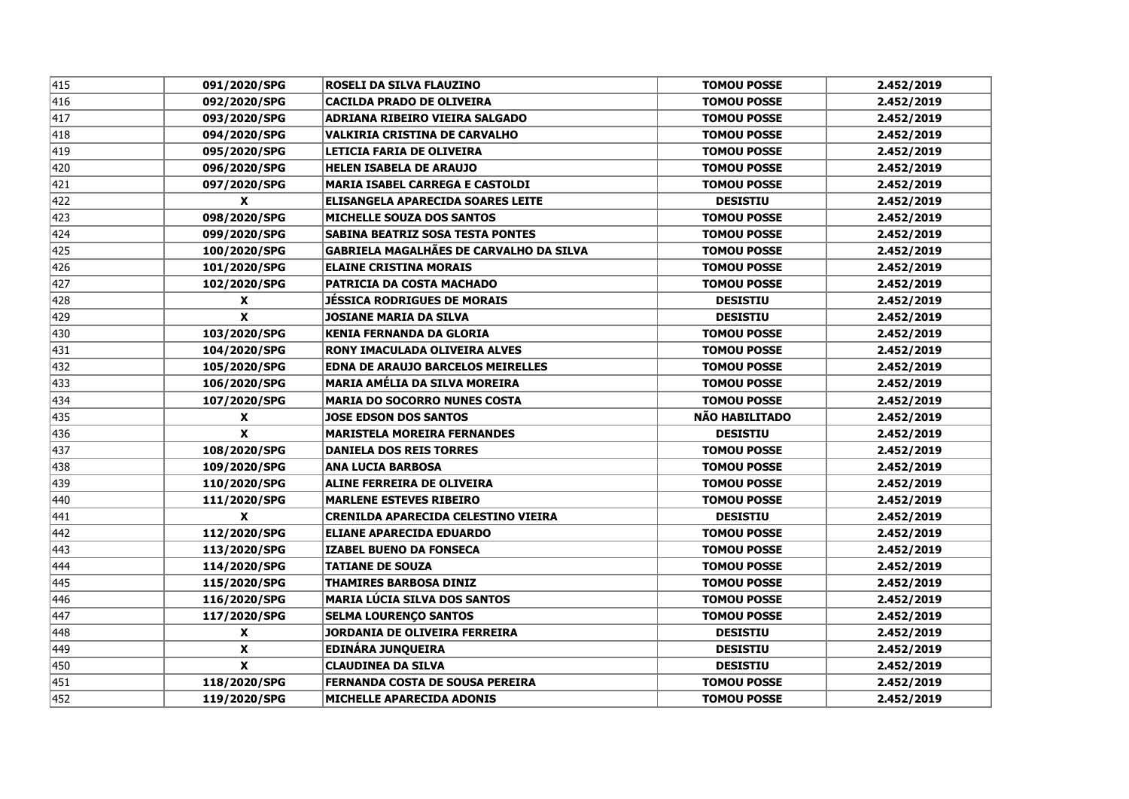| 415          | 091/2020/SPG              | <b>ROSELI DA SILVA FLAUZINO</b>                | <b>TOMOU POSSE</b>    | 2.452/2019 |
|--------------|---------------------------|------------------------------------------------|-----------------------|------------|
| 416          | 092/2020/SPG              | <b>CACILDA PRADO DE OLIVEIRA</b>               | <b>TOMOU POSSE</b>    | 2.452/2019 |
| 417          | 093/2020/SPG              | ADRIANA RIBEIRO VIEIRA SALGADO                 | <b>TOMOU POSSE</b>    | 2.452/2019 |
| 418          | 094/2020/SPG              | <b>VALKIRIA CRISTINA DE CARVALHO</b>           | <b>TOMOU POSSE</b>    | 2.452/2019 |
| $\sqrt{419}$ | 095/2020/SPG              | LETICIA FARIA DE OLIVEIRA                      | <b>TOMOU POSSE</b>    | 2.452/2019 |
| 420          | 096/2020/SPG              | <b>HELEN ISABELA DE ARAUJO</b>                 | <b>TOMOU POSSE</b>    | 2.452/2019 |
| 421          | 097/2020/SPG              | <b>MARIA ISABEL CARREGA E CASTOLDI</b>         | <b>TOMOU POSSE</b>    | 2.452/2019 |
| 422          | $\boldsymbol{x}$          | ELISANGELA APARECIDA SOARES LEITE              | <b>DESISTIU</b>       | 2.452/2019 |
| 423          | 098/2020/SPG              | <b>MICHELLE SOUZA DOS SANTOS</b>               | <b>TOMOU POSSE</b>    | 2.452/2019 |
| 424          | 099/2020/SPG              | <b>SABINA BEATRIZ SOSA TESTA PONTES</b>        | <b>TOMOU POSSE</b>    | 2.452/2019 |
| 425          | 100/2020/SPG              | <b>GABRIELA MAGALHÃES DE CARVALHO DA SILVA</b> | <b>TOMOU POSSE</b>    | 2.452/2019 |
| 426          | 101/2020/SPG              | <b>ELAINE CRISTINA MORAIS</b>                  | <b>TOMOU POSSE</b>    | 2.452/2019 |
| 427          | 102/2020/SPG              | <b>PATRICIA DA COSTA MACHADO</b>               | <b>TOMOU POSSE</b>    | 2.452/2019 |
| 428          | X                         | <b>JESSICA RODRIGUES DE MORAIS</b>             | <b>DESISTIU</b>       | 2.452/2019 |
| 429          | $\mathbf{x}$              | <b>JOSIANE MARIA DA SILVA</b>                  | <b>DESISTIU</b>       | 2.452/2019 |
| 430          | 103/2020/SPG              | <b>KENIA FERNANDA DA GLORIA</b>                | <b>TOMOU POSSE</b>    | 2.452/2019 |
| 431          | 104/2020/SPG              | <b>RONY IMACULADA OLIVEIRA ALVES</b>           | <b>TOMOU POSSE</b>    | 2.452/2019 |
| 432          | 105/2020/SPG              | <b>EDNA DE ARAUJO BARCELOS MEIRELLES</b>       | <b>TOMOU POSSE</b>    | 2.452/2019 |
| 433          | 106/2020/SPG              | <b>MARIA AMÉLIA DA SILVA MOREIRA</b>           | <b>TOMOU POSSE</b>    | 2.452/2019 |
| 434          | 107/2020/SPG              | <b>MARIA DO SOCORRO NUNES COSTA</b>            | <b>TOMOU POSSE</b>    | 2.452/2019 |
| 435          | X                         | <b>JOSE EDSON DOS SANTOS</b>                   | <b>NÃO HABILITADO</b> | 2.452/2019 |
| 436          | $\boldsymbol{x}$          | <b>MARISTELA MOREIRA FERNANDES</b>             | <b>DESISTIU</b>       | 2.452/2019 |
| 437          | 108/2020/SPG              | <b>DANIELA DOS REIS TORRES</b>                 | <b>TOMOU POSSE</b>    | 2.452/2019 |
| 438          | 109/2020/SPG              | <b>ANA LUCIA BARBOSA</b>                       | <b>TOMOU POSSE</b>    | 2.452/2019 |
| 439          | 110/2020/SPG              | <b>ALINE FERREIRA DE OLIVEIRA</b>              | <b>TOMOU POSSE</b>    | 2.452/2019 |
| 440          | 111/2020/SPG              | <b>MARLENE ESTEVES RIBEIRO</b>                 | <b>TOMOU POSSE</b>    | 2.452/2019 |
| 441          | $\boldsymbol{\mathsf{X}}$ | CRENILDA APARECIDA CELESTINO VIEIRA            | <b>DESISTIU</b>       | 2.452/2019 |
| 442          | 112/2020/SPG              | <b>ELIANE APARECIDA EDUARDO</b>                | <b>TOMOU POSSE</b>    | 2.452/2019 |
| 443          | 113/2020/SPG              | <b>IZABEL BUENO DA FONSECA</b>                 | <b>TOMOU POSSE</b>    | 2.452/2019 |
| 444          | 114/2020/SPG              | <b>TATIANE DE SOUZA</b>                        | <b>TOMOU POSSE</b>    | 2.452/2019 |
| 445          | 115/2020/SPG              | <b>THAMIRES BARBOSA DINIZ</b>                  | <b>TOMOU POSSE</b>    | 2.452/2019 |
| 446          | 116/2020/SPG              | <b>MARIA LÚCIA SILVA DOS SANTOS</b>            | <b>TOMOU POSSE</b>    | 2.452/2019 |
| 447          | 117/2020/SPG              | <b>SELMA LOURENÇO SANTOS</b>                   | <b>TOMOU POSSE</b>    | 2.452/2019 |
| 448          | $\boldsymbol{x}$          | <b>JORDANIA DE OLIVEIRA FERREIRA</b>           | <b>DESISTIU</b>       | 2.452/2019 |
| 449          | $\boldsymbol{\mathsf{X}}$ | <b>EDINÁRA JUNQUEIRA</b>                       | <b>DESISTIU</b>       | 2.452/2019 |
| 450          | $\overline{\mathbf{x}}$   | <b>CLAUDINEA DA SILVA</b>                      | <b>DESISTIU</b>       | 2.452/2019 |
| 451          | 118/2020/SPG              | <b>FERNANDA COSTA DE SOUSA PEREIRA</b>         | <b>TOMOU POSSE</b>    | 2.452/2019 |
| 452          | 119/2020/SPG              | <b>MICHELLE APARECIDA ADONIS</b>               | <b>TOMOU POSSE</b>    | 2.452/2019 |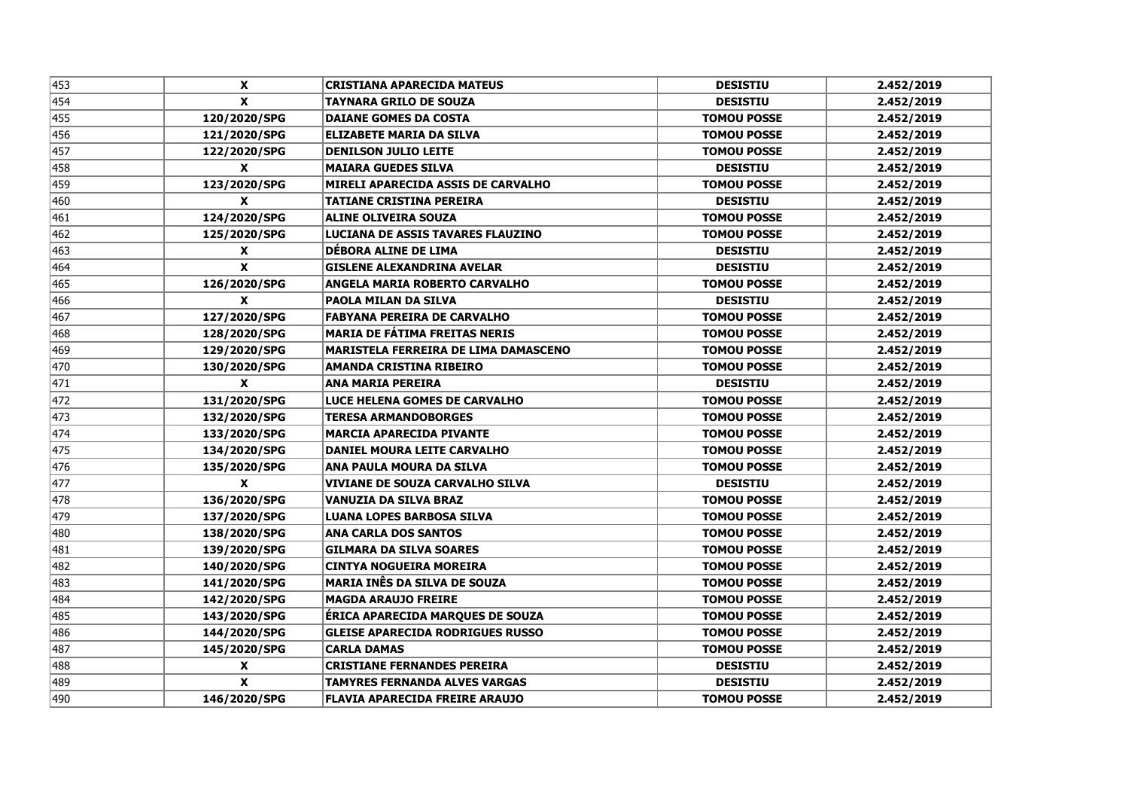| 453 | X                  | <b>CRISTIANA APARECIDA MATEUS</b>           | <b>DESISTIU</b>    | 2.452/2019 |
|-----|--------------------|---------------------------------------------|--------------------|------------|
| 454 | $\boldsymbol{x}$   | <b>TAYNARA GRILO DE SOUZA</b>               | <b>DESISTIU</b>    | 2.452/2019 |
| 455 | 120/2020/SPG       | <b>DAIANE GOMES DA COSTA</b>                | <b>TOMOU POSSE</b> | 2.452/2019 |
| 456 | 121/2020/SPG       | <b>ELIZABETE MARIA DA SILVA</b>             | <b>TOMOU POSSE</b> | 2.452/2019 |
| 457 | 122/2020/SPG       | <b>DENILSON JULIO LEITE</b>                 | <b>TOMOU POSSE</b> | 2.452/2019 |
| 458 | X                  | <b>MAIARA GUEDES SILVA</b>                  | <b>DESISTIU</b>    | 2.452/2019 |
| 459 | 123/2020/SPG       | MIRELI APARECIDA ASSIS DE CARVALHO          | <b>TOMOU POSSE</b> | 2.452/2019 |
| 460 | X                  | <b>TATIANE CRISTINA PEREIRA</b>             | <b>DESISTIU</b>    | 2.452/2019 |
| 461 | 124/2020/SPG       | <b>ALINE OLIVEIRA SOUZA</b>                 | <b>TOMOU POSSE</b> | 2.452/2019 |
| 462 | 125/2020/SPG       | LUCIANA DE ASSIS TAVARES FLAUZINO           | <b>TOMOU POSSE</b> | 2.452/2019 |
| 463 | X                  | DÉBORA ALINE DE LIMA                        | <b>DESISTIU</b>    | 2.452/2019 |
| 464 | $\pmb{\mathsf{x}}$ | <b>GISLENE ALEXANDRINA AVELAR</b>           | <b>DESISTIU</b>    | 2.452/2019 |
| 465 | 126/2020/SPG       | <b>ANGELA MARIA ROBERTO CARVALHO</b>        | <b>TOMOU POSSE</b> | 2.452/2019 |
| 466 | $\boldsymbol{x}$   | PAOLA MILAN DA SILVA                        | <b>DESISTIU</b>    | 2.452/2019 |
| 467 | 127/2020/SPG       | <b>FABYANA PEREIRA DE CARVALHO</b>          | <b>TOMOU POSSE</b> | 2.452/2019 |
| 468 | 128/2020/SPG       | <b>MARIA DE FÁTIMA FREITAS NERIS</b>        | <b>TOMOU POSSE</b> | 2.452/2019 |
| 469 | 129/2020/SPG       | <b>MARISTELA FERREIRA DE LIMA DAMASCENO</b> | <b>TOMOU POSSE</b> | 2.452/2019 |
| 470 | 130/2020/SPG       | <b>AMANDA CRISTINA RIBEIRO</b>              | <b>TOMOU POSSE</b> | 2.452/2019 |
| 471 | $\mathbf{x}$       | <b>ANA MARIA PEREIRA</b>                    | <b>DESISTIU</b>    | 2.452/2019 |
| 472 | 131/2020/SPG       | LUCE HELENA GOMES DE CARVALHO               | <b>TOMOU POSSE</b> | 2.452/2019 |
| 473 | 132/2020/SPG       | <b>TERESA ARMANDOBORGES</b>                 | <b>TOMOU POSSE</b> | 2.452/2019 |
| 474 | 133/2020/SPG       | <b>MARCIA APARECIDA PIVANTE</b>             | <b>TOMOU POSSE</b> | 2.452/2019 |
| 475 | 134/2020/SPG       | DANIEL MOURA LEITE CARVALHO                 | <b>TOMOU POSSE</b> | 2.452/2019 |
| 476 | 135/2020/SPG       | ANA PAULA MOURA DA SILVA                    | <b>TOMOU POSSE</b> | 2.452/2019 |
| 477 | X                  | VIVIANE DE SOUZA CARVALHO SILVA             | <b>DESISTIU</b>    | 2.452/2019 |
| 478 | 136/2020/SPG       | VANUZIA DA SILVA BRAZ                       | <b>TOMOU POSSE</b> | 2.452/2019 |
| 479 | 137/2020/SPG       | <b>LUANA LOPES BARBOSA SILVA</b>            | <b>TOMOU POSSE</b> | 2.452/2019 |
| 480 | 138/2020/SPG       | <b>ANA CARLA DOS SANTOS</b>                 | <b>TOMOU POSSE</b> | 2.452/2019 |
| 481 | 139/2020/SPG       | <b>GILMARA DA SILVA SOARES</b>              | <b>TOMOU POSSE</b> | 2.452/2019 |
| 482 | 140/2020/SPG       | <b>CINTYA NOGUEIRA MOREIRA</b>              | <b>TOMOU POSSE</b> | 2.452/2019 |
| 483 | 141/2020/SPG       | <b>MARIA INÊS DA SILVA DE SOUZA</b>         | <b>TOMOU POSSE</b> | 2.452/2019 |
| 484 | 142/2020/SPG       | <b>MAGDA ARAUJO FREIRE</b>                  | <b>TOMOU POSSE</b> | 2.452/2019 |
| 485 | 143/2020/SPG       | ÉRICA APARECIDA MARQUES DE SOUZA            | <b>TOMOU POSSE</b> | 2.452/2019 |
| 486 | 144/2020/SPG       | <b>GLEISE APARECIDA RODRIGUES RUSSO</b>     | <b>TOMOU POSSE</b> | 2.452/2019 |
| 487 | 145/2020/SPG       | <b>CARLA DAMAS</b>                          | <b>TOMOU POSSE</b> | 2.452/2019 |
| 488 | X                  | <b>CRISTIANE FERNANDES PEREIRA</b>          | <b>DESISTIU</b>    | 2.452/2019 |
| 489 | X                  | <b>TAMYRES FERNANDA ALVES VARGAS</b>        | <b>DESISTIU</b>    | 2.452/2019 |
| 490 | 146/2020/SPG       | <b>FLAVIA APARECIDA FREIRE ARAUJO</b>       | <b>TOMOU POSSE</b> | 2.452/2019 |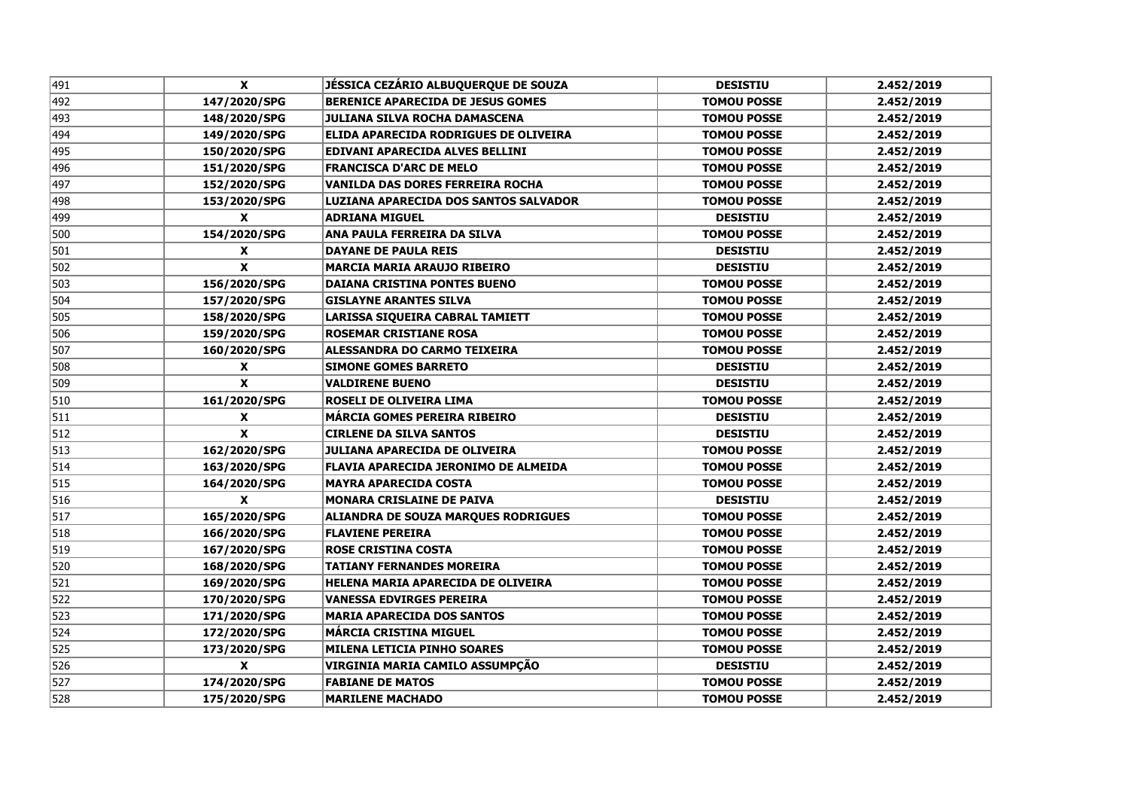| 491 | X                  | JÉSSICA CEZÁRIO ALBUQUERQUE DE SOUZA       | <b>DESISTIU</b>    | 2.452/2019 |
|-----|--------------------|--------------------------------------------|--------------------|------------|
| 492 | 147/2020/SPG       | <b>BERENICE APARECIDA DE JESUS GOMES</b>   | <b>TOMOU POSSE</b> | 2.452/2019 |
| 493 | 148/2020/SPG       | <b>JULIANA SILVA ROCHA DAMASCENA</b>       | <b>TOMOU POSSE</b> | 2.452/2019 |
| 494 | 149/2020/SPG       | ELIDA APARECIDA RODRIGUES DE OLIVEIRA      | <b>TOMOU POSSE</b> | 2.452/2019 |
| 495 | 150/2020/SPG       | EDIVANI APARECIDA ALVES BELLINI            | <b>TOMOU POSSE</b> | 2.452/2019 |
| 496 | 151/2020/SPG       | <b>FRANCISCA D'ARC DE MELO</b>             | <b>TOMOU POSSE</b> | 2.452/2019 |
| 497 | 152/2020/SPG       | <b>VANILDA DAS DORES FERREIRA ROCHA</b>    | <b>TOMOU POSSE</b> | 2.452/2019 |
| 498 | 153/2020/SPG       | LUZIANA APARECIDA DOS SANTOS SALVADOR      | <b>TOMOU POSSE</b> | 2.452/2019 |
| 499 | X                  | <b>ADRIANA MIGUEL</b>                      | <b>DESISTIU</b>    | 2.452/2019 |
| 500 | 154/2020/SPG       | ANA PAULA FERREIRA DA SILVA                | <b>TOMOU POSSE</b> | 2.452/2019 |
| 501 | X                  | <b>DAYANE DE PAULA REIS</b>                | <b>DESISTIU</b>    | 2.452/2019 |
| 502 | $\pmb{\chi}$       | <b>MARCIA MARIA ARAUJO RIBEIRO</b>         | <b>DESISTIU</b>    | 2.452/2019 |
| 503 | 156/2020/SPG       | <b>DAIANA CRISTINA PONTES BUENO</b>        | <b>TOMOU POSSE</b> | 2.452/2019 |
| 504 | 157/2020/SPG       | <b>GISLAYNE ARANTES SILVA</b>              | <b>TOMOU POSSE</b> | 2.452/2019 |
| 505 | 158/2020/SPG       | LARISSA SIQUEIRA CABRAL TAMIETT            | <b>TOMOU POSSE</b> | 2.452/2019 |
| 506 | 159/2020/SPG       | <b>ROSEMAR CRISTIANE ROSA</b>              | <b>TOMOU POSSE</b> | 2.452/2019 |
| 507 | 160/2020/SPG       | ALESSANDRA DO CARMO TEIXEIRA               | <b>TOMOU POSSE</b> | 2.452/2019 |
| 508 | <b>X</b>           | <b>SIMONE GOMES BARRETO</b>                | <b>DESISTIU</b>    | 2.452/2019 |
| 509 | $\mathbf{x}$       | <b>VALDIRENE BUENO</b>                     | <b>DESISTIU</b>    | 2.452/2019 |
| 510 | 161/2020/SPG       | <b>ROSELI DE OLIVEIRA LIMA</b>             | <b>TOMOU POSSE</b> | 2.452/2019 |
| 511 | X                  | <b>MÁRCIA GOMES PEREIRA RIBEIRO</b>        | <b>DESISTIU</b>    | 2.452/2019 |
| 512 | $\pmb{\mathsf{x}}$ | <b>CIRLENE DA SILVA SANTOS</b>             | <b>DESISTIU</b>    | 2.452/2019 |
| 513 | 162/2020/SPG       | <b>JULIANA APARECIDA DE OLIVEIRA</b>       | <b>TOMOU POSSE</b> | 2.452/2019 |
| 514 | 163/2020/SPG       | FLAVIA APARECIDA JERONIMO DE ALMEIDA       | <b>TOMOU POSSE</b> | 2.452/2019 |
| 515 | 164/2020/SPG       | <b>MAYRA APARECIDA COSTA</b>               | <b>TOMOU POSSE</b> | 2.452/2019 |
| 516 | X                  | <b>MONARA CRISLAINE DE PAIVA</b>           | <b>DESISTIU</b>    | 2.452/2019 |
| 517 | 165/2020/SPG       | <b>ALIANDRA DE SOUZA MARQUES RODRIGUES</b> | <b>TOMOU POSSE</b> | 2.452/2019 |
| 518 | 166/2020/SPG       | <b>FLAVIENE PEREIRA</b>                    | <b>TOMOU POSSE</b> | 2.452/2019 |
| 519 | 167/2020/SPG       | <b>ROSE CRISTINA COSTA</b>                 | <b>TOMOU POSSE</b> | 2.452/2019 |
| 520 | 168/2020/SPG       | <b>TATIANY FERNANDES MOREIRA</b>           | <b>TOMOU POSSE</b> | 2.452/2019 |
| 521 | 169/2020/SPG       | HELENA MARIA APARECIDA DE OLIVEIRA         | <b>TOMOU POSSE</b> | 2.452/2019 |
| 522 | 170/2020/SPG       | <b>VANESSA EDVIRGES PEREIRA</b>            | <b>TOMOU POSSE</b> | 2.452/2019 |
| 523 | 171/2020/SPG       | <b>MARIA APARECIDA DOS SANTOS</b>          | <b>TOMOU POSSE</b> | 2.452/2019 |
| 524 | 172/2020/SPG       | <b>MÁRCIA CRISTINA MIGUEL</b>              | <b>TOMOU POSSE</b> | 2.452/2019 |
| 525 | 173/2020/SPG       | <b>MILENA LETICIA PINHO SOARES</b>         | <b>TOMOU POSSE</b> | 2.452/2019 |
| 526 | X                  | VIRGINIA MARIA CAMILO ASSUMPÇÃO            | <b>DESISTIU</b>    | 2.452/2019 |
| 527 | 174/2020/SPG       | <b>FABIANE DE MATOS</b>                    | <b>TOMOU POSSE</b> | 2.452/2019 |
| 528 | 175/2020/SPG       | <b>MARILENE MACHADO</b>                    | <b>TOMOU POSSE</b> | 2.452/2019 |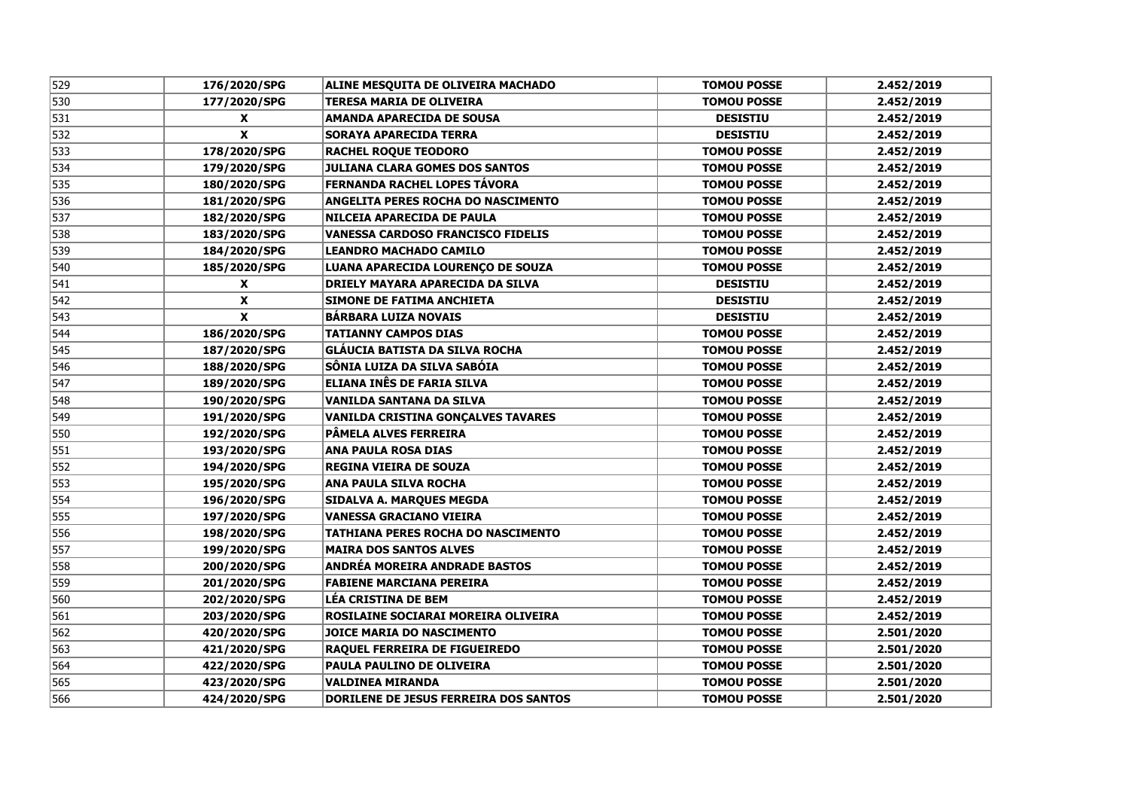| 529 | 176/2020/SPG       | ALINE MESQUITA DE OLIVEIRA MACHADO        | <b>TOMOU POSSE</b> | 2.452/2019 |
|-----|--------------------|-------------------------------------------|--------------------|------------|
| 530 | 177/2020/SPG       | <b>TERESA MARIA DE OLIVEIRA</b>           | <b>TOMOU POSSE</b> | 2.452/2019 |
| 531 | X                  | <b>AMANDA APARECIDA DE SOUSA</b>          | <b>DESISTIU</b>    | 2.452/2019 |
| 532 | $\pmb{\mathsf{x}}$ | <b>SORAYA APARECIDA TERRA</b>             | <b>DESISTIU</b>    | 2.452/2019 |
| 533 | 178/2020/SPG       | <b>RACHEL ROQUE TEODORO</b>               | <b>TOMOU POSSE</b> | 2.452/2019 |
| 534 | 179/2020/SPG       | <b>JULIANA CLARA GOMES DOS SANTOS</b>     | <b>TOMOU POSSE</b> | 2.452/2019 |
| 535 | 180/2020/SPG       | FERNANDA RACHEL LOPES TÁVORA              | <b>TOMOU POSSE</b> | 2.452/2019 |
| 536 | 181/2020/SPG       | ANGELITA PERES ROCHA DO NASCIMENTO        | <b>TOMOU POSSE</b> | 2.452/2019 |
| 537 | 182/2020/SPG       | NILCEIA APARECIDA DE PAULA                | <b>TOMOU POSSE</b> | 2.452/2019 |
| 538 | 183/2020/SPG       | <b>VANESSA CARDOSO FRANCISCO FIDELIS</b>  | <b>TOMOU POSSE</b> | 2.452/2019 |
| 539 | 184/2020/SPG       | <b>LEANDRO MACHADO CAMILO</b>             | <b>TOMOU POSSE</b> | 2.452/2019 |
| 540 | 185/2020/SPG       | LUANA APARECIDA LOURENCO DE SOUZA         | <b>TOMOU POSSE</b> | 2.452/2019 |
| 541 | X                  | <b>DRIELY MAYARA APARECIDA DA SILVA</b>   | <b>DESISTIU</b>    | 2.452/2019 |
| 542 | X                  | <b>SIMONE DE FATIMA ANCHIETA</b>          | <b>DESISTIU</b>    | 2.452/2019 |
| 543 | X                  | <b>BÁRBARA LUIZA NOVAIS</b>               | <b>DESISTIU</b>    | 2.452/2019 |
| 544 | 186/2020/SPG       | <b>TATIANNY CAMPOS DIAS</b>               | <b>TOMOU POSSE</b> | 2.452/2019 |
| 545 | 187/2020/SPG       | GLÁUCIA BATISTA DA SILVA ROCHA            | <b>TOMOU POSSE</b> | 2.452/2019 |
| 546 | 188/2020/SPG       | SÔNIA LUIZA DA SILVA SABÓIA               | <b>TOMOU POSSE</b> | 2.452/2019 |
| 547 | 189/2020/SPG       | ELIANA INÊS DE FARIA SILVA                | <b>TOMOU POSSE</b> | 2.452/2019 |
| 548 | 190/2020/SPG       | VANILDA SANTANA DA SILVA                  | <b>TOMOU POSSE</b> | 2.452/2019 |
| 549 | 191/2020/SPG       | <b>VANILDA CRISTINA GONÇALVES TAVARES</b> | <b>TOMOU POSSE</b> | 2.452/2019 |
| 550 | 192/2020/SPG       | PÄMELA ALVES FERREIRA                     | <b>TOMOU POSSE</b> | 2.452/2019 |
| 551 | 193/2020/SPG       | <b>ANA PAULA ROSA DIAS</b>                | <b>TOMOU POSSE</b> | 2.452/2019 |
| 552 | 194/2020/SPG       | <b>REGINA VIEIRA DE SOUZA</b>             | <b>TOMOU POSSE</b> | 2.452/2019 |
| 553 | 195/2020/SPG       | <b>ANA PAULA SILVA ROCHA</b>              | <b>TOMOU POSSE</b> | 2.452/2019 |
| 554 | 196/2020/SPG       | <b>SIDALVA A. MARQUES MEGDA</b>           | <b>TOMOU POSSE</b> | 2.452/2019 |
| 555 | 197/2020/SPG       | <b>VANESSA GRACIANO VIEIRA</b>            | <b>TOMOU POSSE</b> | 2.452/2019 |
| 556 | 198/2020/SPG       | <b>TATHIANA PERES ROCHA DO NASCIMENTO</b> | <b>TOMOU POSSE</b> | 2.452/2019 |
| 557 | 199/2020/SPG       | <b>MAIRA DOS SANTOS ALVES</b>             | <b>TOMOU POSSE</b> | 2.452/2019 |
| 558 | 200/2020/SPG       | ANDRÉA MOREIRA ANDRADE BASTOS             | <b>TOMOU POSSE</b> | 2.452/2019 |
| 559 | 201/2020/SPG       | <b>FABIENE MARCIANA PEREIRA</b>           | <b>TOMOU POSSE</b> | 2.452/2019 |
| 560 | 202/2020/SPG       | <b>LÉA CRISTINA DE BEM</b>                | <b>TOMOU POSSE</b> | 2.452/2019 |
| 561 | 203/2020/SPG       | ROSILAINE SOCIARAI MOREIRA OLIVEIRA       | <b>TOMOU POSSE</b> | 2.452/2019 |
| 562 | 420/2020/SPG       | <b>JOICE MARIA DO NASCIMENTO</b>          | <b>TOMOU POSSE</b> | 2.501/2020 |
| 563 | 421/2020/SPG       | <b>RAQUEL FERREIRA DE FIGUEIREDO</b>      | <b>TOMOU POSSE</b> | 2.501/2020 |
| 564 | 422/2020/SPG       | PAULA PAULINO DE OLIVEIRA                 | <b>TOMOU POSSE</b> | 2.501/2020 |
| 565 | 423/2020/SPG       | <b>VALDINEA MIRANDA</b>                   | <b>TOMOU POSSE</b> | 2.501/2020 |
| 566 | 424/2020/SPG       | DORILENE DE JESUS FERREIRA DOS SANTOS     | <b>TOMOU POSSE</b> | 2.501/2020 |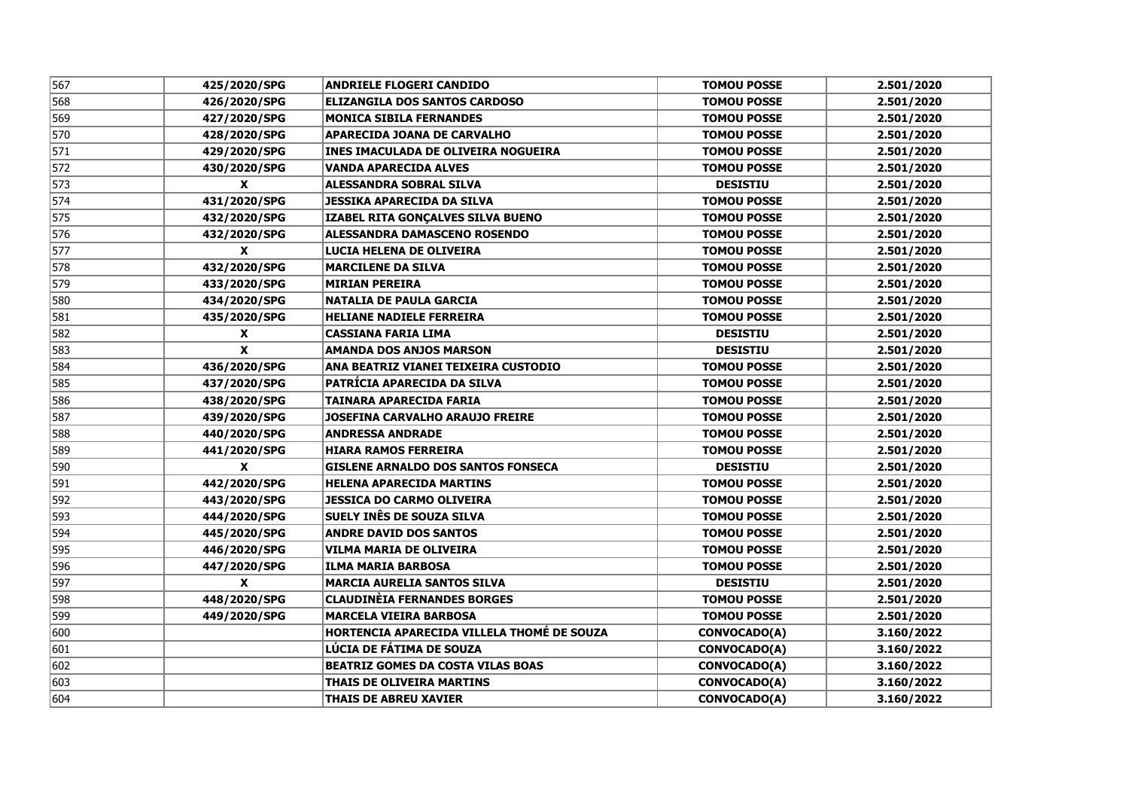| 567 | 425/2020/SPG              | <b>ANDRIELE FLOGERI CANDIDO</b>            | <b>TOMOU POSSE</b>  | 2.501/2020 |
|-----|---------------------------|--------------------------------------------|---------------------|------------|
| 568 | 426/2020/SPG              | <b>ELIZANGILA DOS SANTOS CARDOSO</b>       | <b>TOMOU POSSE</b>  | 2.501/2020 |
| 569 | 427/2020/SPG              | <b>MONICA SIBILA FERNANDES</b>             | <b>TOMOU POSSE</b>  | 2.501/2020 |
| 570 | 428/2020/SPG              | <b>APARECIDA JOANA DE CARVALHO</b>         | <b>TOMOU POSSE</b>  | 2.501/2020 |
| 571 | 429/2020/SPG              | <b>INES IMACULADA DE OLIVEIRA NOGUEIRA</b> | <b>TOMOU POSSE</b>  | 2.501/2020 |
| 572 | 430/2020/SPG              | <b>VANDA APARECIDA ALVES</b>               | <b>TOMOU POSSE</b>  | 2.501/2020 |
| 573 | X                         | <b>ALESSANDRA SOBRAL SILVA</b>             | <b>DESISTIU</b>     | 2.501/2020 |
| 574 | 431/2020/SPG              | <b>JESSIKA APARECIDA DA SILVA</b>          | <b>TOMOU POSSE</b>  | 2.501/2020 |
| 575 | 432/2020/SPG              | IZABEL RITA GONÇALVES SILVA BUENO          | <b>TOMOU POSSE</b>  | 2.501/2020 |
| 576 | 432/2020/SPG              | <b>ALESSANDRA DAMASCENO ROSENDO</b>        | <b>TOMOU POSSE</b>  | 2.501/2020 |
| 577 | X                         | LUCIA HELENA DE OLIVEIRA                   | <b>TOMOU POSSE</b>  | 2.501/2020 |
| 578 | 432/2020/SPG              | <b>MARCILENE DA SILVA</b>                  | <b>TOMOU POSSE</b>  | 2.501/2020 |
| 579 | 433/2020/SPG              | <b>MIRIAN PEREIRA</b>                      | <b>TOMOU POSSE</b>  | 2.501/2020 |
| 580 | 434/2020/SPG              | <b>NATALIA DE PAULA GARCIA</b>             | <b>TOMOU POSSE</b>  | 2.501/2020 |
| 581 | 435/2020/SPG              | <b>HELIANE NADIELE FERREIRA</b>            | <b>TOMOU POSSE</b>  | 2.501/2020 |
| 582 | X                         | <b>CASSIANA FARIA LIMA</b>                 | <b>DESISTIU</b>     | 2.501/2020 |
| 583 | $\boldsymbol{x}$          | <b>AMANDA DOS ANJOS MARSON</b>             | <b>DESISTIU</b>     | 2.501/2020 |
| 584 | 436/2020/SPG              | ANA BEATRIZ VIANEI TEIXEIRA CUSTODIO       | <b>TOMOU POSSE</b>  | 2.501/2020 |
| 585 | 437/2020/SPG              | <b>PATRÍCIA APARECIDA DA SILVA</b>         | <b>TOMOU POSSE</b>  | 2.501/2020 |
| 586 | 438/2020/SPG              | <b>TAINARA APARECIDA FARIA</b>             | <b>TOMOU POSSE</b>  | 2.501/2020 |
| 587 | 439/2020/SPG              | <b>JOSEFINA CARVALHO ARAUJO FREIRE</b>     | <b>TOMOU POSSE</b>  | 2.501/2020 |
| 588 | 440/2020/SPG              | <b>ANDRESSA ANDRADE</b>                    | <b>TOMOU POSSE</b>  | 2.501/2020 |
| 589 | 441/2020/SPG              | <b>HIARA RAMOS FERREIRA</b>                | <b>TOMOU POSSE</b>  | 2.501/2020 |
| 590 | X                         | <b>GISLENE ARNALDO DOS SANTOS FONSECA</b>  | <b>DESISTIU</b>     | 2.501/2020 |
| 591 | 442/2020/SPG              | <b>HELENA APARECIDA MARTINS</b>            | <b>TOMOU POSSE</b>  | 2.501/2020 |
| 592 | 443/2020/SPG              | <b>JESSICA DO CARMO OLIVEIRA</b>           | <b>TOMOU POSSE</b>  | 2.501/2020 |
| 593 | 444/2020/SPG              | <b>SUELY INÊS DE SOUZA SILVA</b>           | <b>TOMOU POSSE</b>  | 2.501/2020 |
| 594 | 445/2020/SPG              | <b>ANDRE DAVID DOS SANTOS</b>              | <b>TOMOU POSSE</b>  | 2.501/2020 |
| 595 | 446/2020/SPG              | VILMA MARIA DE OLIVEIRA                    | <b>TOMOU POSSE</b>  | 2.501/2020 |
| 596 | 447/2020/SPG              | <b>ILMA MARIA BARBOSA</b>                  | <b>TOMOU POSSE</b>  | 2.501/2020 |
| 597 | $\boldsymbol{\mathsf{X}}$ | <b>MARCIA AURELIA SANTOS SILVA</b>         | <b>DESISTIU</b>     | 2.501/2020 |
| 598 | 448/2020/SPG              | <b>CLAUDINÈIA FERNANDES BORGES</b>         | <b>TOMOU POSSE</b>  | 2.501/2020 |
| 599 | 449/2020/SPG              | <b>MARCELA VIEIRA BARBOSA</b>              | <b>TOMOU POSSE</b>  | 2.501/2020 |
| 600 |                           | HORTENCIA APARECIDA VILLELA THOMÉ DE SOUZA | <b>CONVOCADO(A)</b> | 3.160/2022 |
| 601 |                           | LÚCIA DE FÁTIMA DE SOUZA                   | <b>CONVOCADO(A)</b> | 3.160/2022 |
| 602 |                           | <b>BEATRIZ GOMES DA COSTA VILAS BOAS</b>   | CONVOCADO(A)        | 3.160/2022 |
| 603 |                           | <b>THAIS DE OLIVEIRA MARTINS</b>           | CONVOCADO(A)        | 3.160/2022 |
| 604 |                           | <b>THAIS DE ABREU XAVIER</b>               | CONVOCADO(A)        | 3.160/2022 |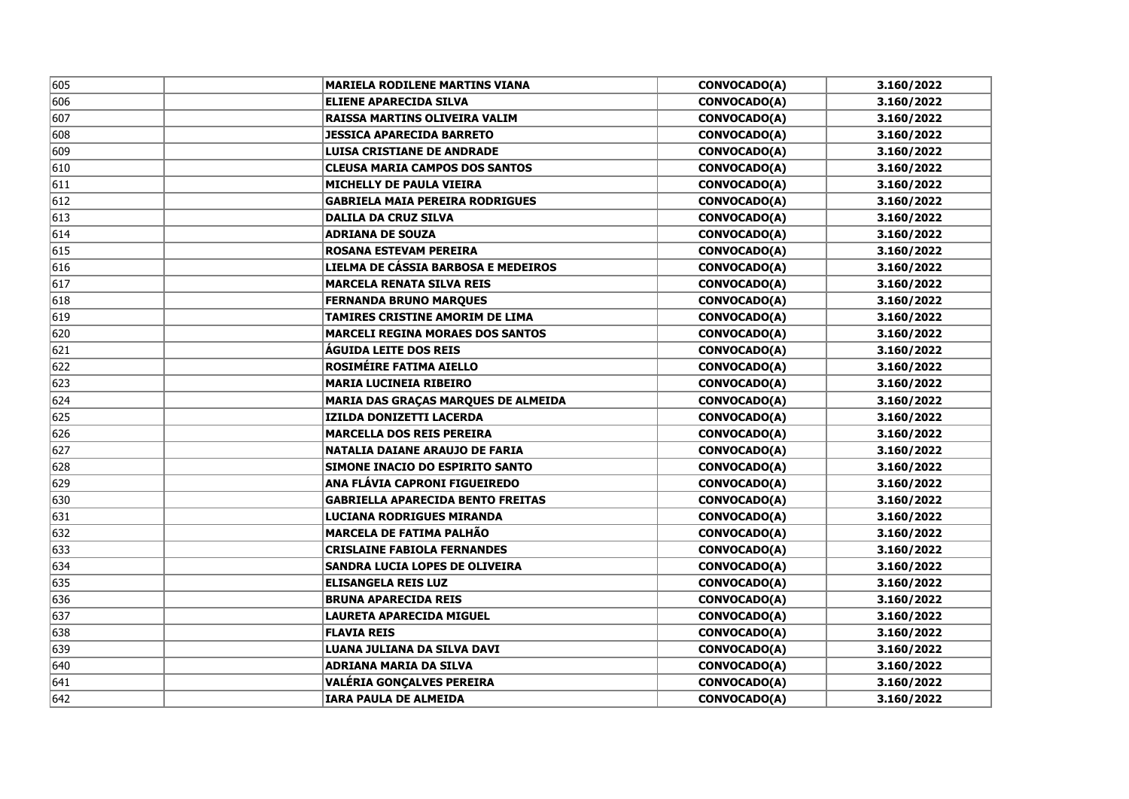| 605 | <b>MARIELA RODILENE MARTINS VIANA</b>      | CONVOCADO(A)        | 3.160/2022 |
|-----|--------------------------------------------|---------------------|------------|
| 606 | <b>ELIENE APARECIDA SILVA</b>              | <b>CONVOCADO(A)</b> | 3.160/2022 |
| 607 | RAISSA MARTINS OLIVEIRA VALIM              | <b>CONVOCADO(A)</b> | 3.160/2022 |
| 608 | <b>JESSICA APARECIDA BARRETO</b>           | CONVOCADO(A)        | 3.160/2022 |
| 609 | <b>LUISA CRISTIANE DE ANDRADE</b>          | CONVOCADO(A)        | 3.160/2022 |
| 610 | <b>CLEUSA MARIA CAMPOS DOS SANTOS</b>      | CONVOCADO(A)        | 3.160/2022 |
| 611 | <b>MICHELLY DE PAULA VIEIRA</b>            | CONVOCADO(A)        | 3.160/2022 |
| 612 | <b>GABRIELA MAIA PEREIRA RODRIGUES</b>     | CONVOCADO(A)        | 3.160/2022 |
| 613 | <b>DALILA DA CRUZ SILVA</b>                | CONVOCADO(A)        | 3.160/2022 |
| 614 | <b>ADRIANA DE SOUZA</b>                    | CONVOCADO(A)        | 3.160/2022 |
| 615 | <b>ROSANA ESTEVAM PEREIRA</b>              | CONVOCADO(A)        | 3.160/2022 |
| 616 | LIELMA DE CÁSSIA BARBOSA E MEDEIROS        | CONVOCADO(A)        | 3.160/2022 |
| 617 | MARCELA RENATA SILVA REIS                  | <b>CONVOCADO(A)</b> | 3.160/2022 |
| 618 | <b>FERNANDA BRUNO MARQUES</b>              | CONVOCADO(A)        | 3.160/2022 |
| 619 | <b>TAMIRES CRISTINE AMORIM DE LIMA</b>     | <b>CONVOCADO(A)</b> | 3.160/2022 |
| 620 | <b>MARCELI REGINA MORAES DOS SANTOS</b>    | CONVOCADO(A)        | 3.160/2022 |
| 621 | <b>AGUIDA LEITE DOS REIS</b>               | <b>CONVOCADO(A)</b> | 3.160/2022 |
| 622 | <b>ROSIMÉIRE FATIMA AIELLO</b>             | <b>CONVOCADO(A)</b> | 3.160/2022 |
| 623 | <b>MARIA LUCINEIA RIBEIRO</b>              | <b>CONVOCADO(A)</b> | 3.160/2022 |
| 624 | <b>MARIA DAS GRAÇAS MARQUES DE ALMEIDA</b> | <b>CONVOCADO(A)</b> | 3.160/2022 |
| 625 | <b>IZILDA DONIZETTI LACERDA</b>            | <b>CONVOCADO(A)</b> | 3.160/2022 |
| 626 | <b>MARCELLA DOS REIS PEREIRA</b>           | <b>CONVOCADO(A)</b> | 3.160/2022 |
| 627 | <b>NATALIA DAIANE ARAUJO DE FARIA</b>      | <b>CONVOCADO(A)</b> | 3.160/2022 |
| 628 | SIMONE INACIO DO ESPIRITO SANTO            | <b>CONVOCADO(A)</b> | 3.160/2022 |
| 629 | <b>ANA FLÁVIA CAPRONI FIGUEIREDO</b>       | <b>CONVOCADO(A)</b> | 3.160/2022 |
| 630 | <b>GABRIELLA APARECIDA BENTO FREITAS</b>   | <b>CONVOCADO(A)</b> | 3.160/2022 |
| 631 | <b>LUCIANA RODRIGUES MIRANDA</b>           | <b>CONVOCADO(A)</b> | 3.160/2022 |
| 632 | <b>MARCELA DE FATIMA PALHÃO</b>            | <b>CONVOCADO(A)</b> | 3.160/2022 |
| 633 | <b>CRISLAINE FABIOLA FERNANDES</b>         | <b>CONVOCADO(A)</b> | 3.160/2022 |
| 634 | SANDRA LUCIA LOPES DE OLIVEIRA             | <b>CONVOCADO(A)</b> | 3.160/2022 |
| 635 | <b>ELISANGELA REIS LUZ</b>                 | <b>CONVOCADO(A)</b> | 3.160/2022 |
| 636 | <b>BRUNA APARECIDA REIS</b>                | <b>CONVOCADO(A)</b> | 3.160/2022 |
| 637 | <b>LAURETA APARECIDA MIGUEL</b>            | <b>CONVOCADO(A)</b> | 3.160/2022 |
| 638 | <b>FLAVIA REIS</b>                         | <b>CONVOCADO(A)</b> | 3.160/2022 |
| 639 | LUANA JULIANA DA SILVA DAVI                | <b>CONVOCADO(A)</b> | 3.160/2022 |
| 640 | <b>ADRIANA MARIA DA SILVA</b>              | <b>CONVOCADO(A)</b> | 3.160/2022 |
| 641 | VALÉRIA GONÇALVES PEREIRA                  | <b>CONVOCADO(A)</b> | 3.160/2022 |
| 642 | <b>IARA PAULA DE ALMEIDA</b>               | <b>CONVOCADO(A)</b> | 3.160/2022 |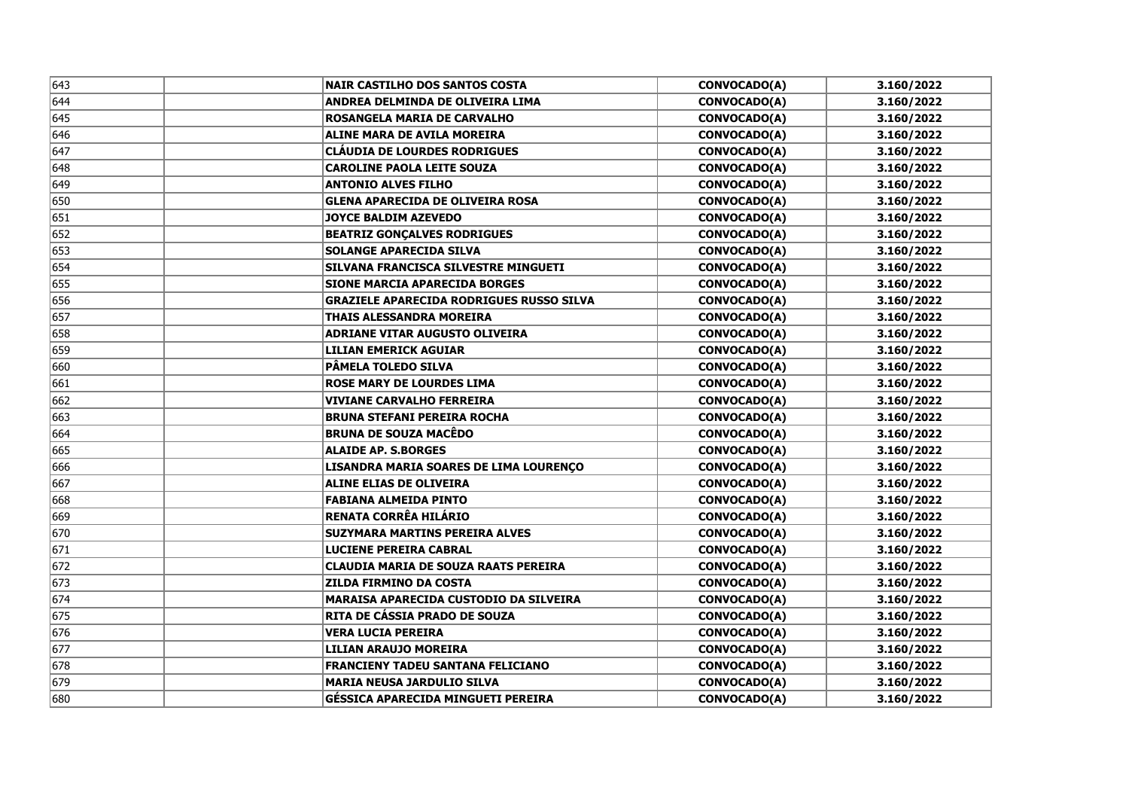| 643 | <b>NAIR CASTILHO DOS SANTOS COSTA</b>           | CONVOCADO(A)        | 3.160/2022 |
|-----|-------------------------------------------------|---------------------|------------|
| 644 | ANDREA DELMINDA DE OLIVEIRA LIMA                | CONVOCADO(A)        | 3.160/2022 |
| 645 | ROSANGELA MARIA DE CARVALHO                     | CONVOCADO(A)        | 3.160/2022 |
| 646 | <b>ALINE MARA DE AVILA MOREIRA</b>              | <b>CONVOCADO(A)</b> | 3.160/2022 |
| 647 | <b>CLAUDIA DE LOURDES RODRIGUES</b>             | CONVOCADO(A)        | 3.160/2022 |
| 648 | <b>CAROLINE PAOLA LEITE SOUZA</b>               | <b>CONVOCADO(A)</b> | 3.160/2022 |
| 649 | <b>ANTONIO ALVES FILHO</b>                      | CONVOCADO(A)        | 3.160/2022 |
| 650 | <b>GLENA APARECIDA DE OLIVEIRA ROSA</b>         | <b>CONVOCADO(A)</b> | 3.160/2022 |
| 651 | <b>JOYCE BALDIM AZEVEDO</b>                     | CONVOCADO(A)        | 3.160/2022 |
| 652 | <b>BEATRIZ GONÇALVES RODRIGUES</b>              | CONVOCADO(A)        | 3.160/2022 |
| 653 | <b>SOLANGE APARECIDA SILVA</b>                  | CONVOCADO(A)        | 3.160/2022 |
| 654 | SILVANA FRANCISCA SILVESTRE MINGUETI            | CONVOCADO(A)        | 3.160/2022 |
| 655 | <b>SIONE MARCIA APARECIDA BORGES</b>            | CONVOCADO(A)        | 3.160/2022 |
| 656 | <b>GRAZIELE APARECIDA RODRIGUES RUSSO SILVA</b> | CONVOCADO(A)        | 3.160/2022 |
| 657 | <b>THAIS ALESSANDRA MOREIRA</b>                 | <b>CONVOCADO(A)</b> | 3.160/2022 |
| 658 | <b>ADRIANE VITAR AUGUSTO OLIVEIRA</b>           | CONVOCADO(A)        | 3.160/2022 |
| 659 | <b>LILIAN EMERICK AGUIAR</b>                    | <b>CONVOCADO(A)</b> | 3.160/2022 |
| 660 | <b>PÂMELA TOLEDO SILVA</b>                      | CONVOCADO(A)        | 3.160/2022 |
| 661 | <b>ROSE MARY DE LOURDES LIMA</b>                | <b>CONVOCADO(A)</b> | 3.160/2022 |
| 662 | <b>VIVIANE CARVALHO FERREIRA</b>                | CONVOCADO(A)        | 3.160/2022 |
| 663 | <b>BRUNA STEFANI PEREIRA ROCHA</b>              | <b>CONVOCADO(A)</b> | 3.160/2022 |
| 664 | <b>BRUNA DE SOUZA MACÊDO</b>                    | CONVOCADO(A)        | 3.160/2022 |
| 665 | <b>ALAIDE AP. S.BORGES</b>                      | <b>CONVOCADO(A)</b> | 3.160/2022 |
| 666 | LISANDRA MARIA SOARES DE LIMA LOURENÇO          | CONVOCADO(A)        | 3.160/2022 |
| 667 | <b>ALINE ELIAS DE OLIVEIRA</b>                  | CONVOCADO(A)        | 3.160/2022 |
| 668 | <b>FABIANA ALMEIDA PINTO</b>                    | <b>CONVOCADO(A)</b> | 3.160/2022 |
| 669 | RENATA CORRÊA HILÁRIO                           | CONVOCADO(A)        | 3.160/2022 |
| 670 | SUZYMARA MARTINS PEREIRA ALVES                  | <b>CONVOCADO(A)</b> | 3.160/2022 |
| 671 | <b>LUCIENE PEREIRA CABRAL</b>                   | <b>CONVOCADO(A)</b> | 3.160/2022 |
| 672 | <b>CLAUDIA MARIA DE SOUZA RAATS PEREIRA</b>     | <b>CONVOCADO(A)</b> | 3.160/2022 |
| 673 | <b>ZILDA FIRMINO DA COSTA</b>                   | <b>CONVOCADO(A)</b> | 3.160/2022 |
| 674 | <b>MARAISA APARECIDA CUSTODIO DA SILVEIRA</b>   | <b>CONVOCADO(A)</b> | 3.160/2022 |
| 675 | RITA DE CÁSSIA PRADO DE SOUZA                   | <b>CONVOCADO(A)</b> | 3.160/2022 |
| 676 | <b>VERA LUCIA PEREIRA</b>                       | <b>CONVOCADO(A)</b> | 3.160/2022 |
| 677 | <b>LILIAN ARAUJO MOREIRA</b>                    | CONVOCADO(A)        | 3.160/2022 |
| 678 | <b>FRANCIENY TADEU SANTANA FELICIANO</b>        | <b>CONVOCADO(A)</b> | 3.160/2022 |
| 679 | <b>MARIA NEUSA JARDULIO SILVA</b>               | <b>CONVOCADO(A)</b> | 3.160/2022 |
| 680 | GÉSSICA APARECIDA MINGUETI PEREIRA              | <b>CONVOCADO(A)</b> | 3.160/2022 |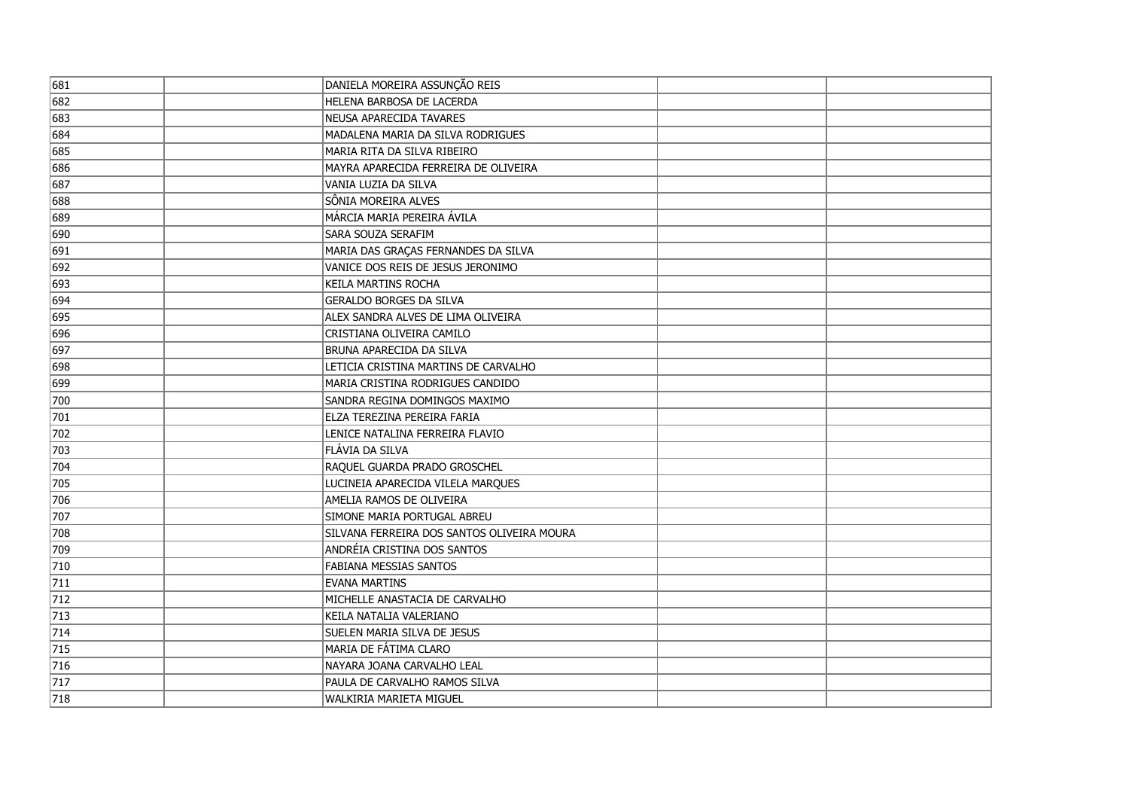| 681 | DANIELA MOREIRA ASSUNÇÃO REIS              |  |
|-----|--------------------------------------------|--|
| 682 | HELENA BARBOSA DE LACERDA                  |  |
| 683 | NEUSA APARECIDA TAVARES                    |  |
| 684 | MADALENA MARIA DA SILVA RODRIGUES          |  |
| 685 | MARIA RITA DA SILVA RIBEIRO                |  |
| 686 | MAYRA APARECIDA FERREIRA DE OLIVEIRA       |  |
| 687 | Vania luzia da Silva                       |  |
| 688 | SÔNIA MOREIRA ALVES                        |  |
| 689 | MÁRCIA MARIA PEREIRA ÁVILA                 |  |
| 690 | SARA SOUZA SERAFIM                         |  |
| 691 | MARIA DAS GRAÇAS FERNANDES DA SILVA        |  |
| 692 | VANICE DOS REIS DE JESUS JERONIMO          |  |
| 693 | <b>KEILA MARTINS ROCHA</b>                 |  |
| 694 | <b>GERALDO BORGES DA SILVA</b>             |  |
| 695 | ALEX SANDRA ALVES DE LIMA OLIVEIRA         |  |
| 696 | CRISTIANA OLIVEIRA CAMILO                  |  |
| 697 | BRUNA APARECIDA DA SILVA                   |  |
| 698 | LETICIA CRISTINA MARTINS DE CARVALHO       |  |
| 699 | MARIA CRISTINA RODRIGUES CANDIDO           |  |
| 700 | SANDRA REGINA DOMINGOS MAXIMO              |  |
| 701 | ELZA TEREZINA PEREIRA FARIA                |  |
| 702 | LENICE NATALINA FERREIRA FLAVIO            |  |
| 703 | FLÁVIA DA SILVA                            |  |
| 704 | RAQUEL GUARDA PRADO GROSCHEL               |  |
| 705 | LUCINEIA APARECIDA VILELA MARQUES          |  |
| 706 | AMELIA RAMOS DE OLIVEIRA                   |  |
| 707 | SIMONE MARIA PORTUGAL ABREU                |  |
| 708 | SILVANA FERREIRA DOS SANTOS OLIVEIRA MOURA |  |
| 709 | <b>ANDRÉIA CRISTINA DOS SANTOS</b>         |  |
| 710 | <b>FABIANA MESSIAS SANTOS</b>              |  |
| 711 | <b>EVANA MARTINS</b>                       |  |
| 712 | MICHELLE ANASTACIA DE CARVALHO             |  |
| 713 | KEILA NATALIA VALERIANO                    |  |
| 714 | SUELEN MARIA SILVA DE JESUS                |  |
| 715 | MARIA DE FÁTIMA CLARO                      |  |
| 716 | NAYARA JOANA CARVALHO LEAL                 |  |
| 717 | PAULA DE CARVALHO RAMOS SILVA              |  |
| 718 | WALKIRIA MARIETA MIGUEL                    |  |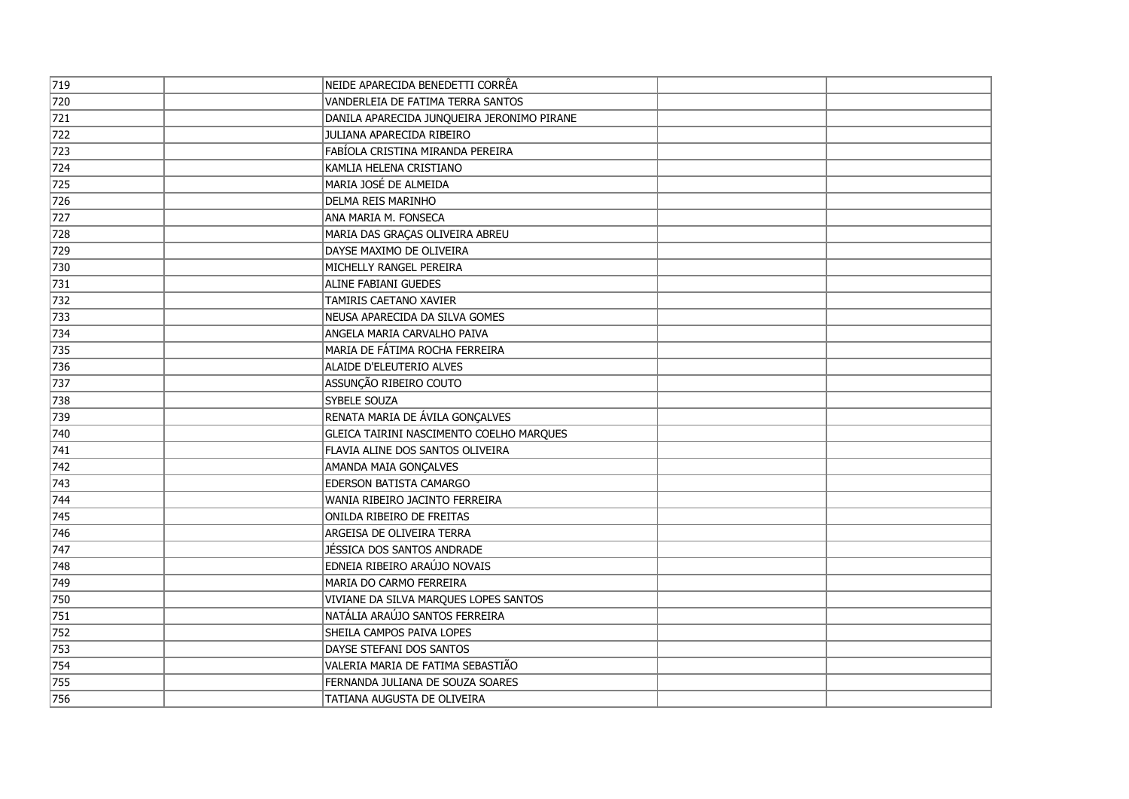| 719              | NEIDE APARECIDA BENEDETTI CORRÊA           |  |
|------------------|--------------------------------------------|--|
| 720              | VANDERLEIA DE FATIMA TERRA SANTOS          |  |
| 721              | DANILA APARECIDA JUNQUEIRA JERONIMO PIRANE |  |
| $\overline{7}22$ | JULIANA APARECIDA RIBEIRO                  |  |
| 723              | FABÍOLA CRISTINA MIRANDA PEREIRA           |  |
| 724              | KAMLIA HELENA CRISTIANO                    |  |
| 725              | MARIA JOSÉ DE ALMEIDA                      |  |
| 726              | <b>DELMA REIS MARINHO</b>                  |  |
| 727              | ANA MARIA M. FONSECA                       |  |
| 728              | MARIA DAS GRAÇAS OLIVEIRA ABREU            |  |
| 729              | DAYSE MAXIMO DE OLIVEIRA                   |  |
| 730              | MICHELLY RANGEL PEREIRA                    |  |
| 731              | ALINE FABIANI GUEDES                       |  |
| 732              | <b>TAMIRIS CAETANO XAVIER</b>              |  |
| 733              | NEUSA APARECIDA DA SILVA GOMES             |  |
| 734              | ANGELA MARIA CARVALHO PAIVA                |  |
| 735              | MARIA DE FÁTIMA ROCHA FERREIRA             |  |
| 736              | ALAIDE D'ELEUTERIO ALVES                   |  |
| 737              | ASSUNÇÃO RIBEIRO COUTO                     |  |
| 738              | SYBELE SOUZA                               |  |
| 739              | RENATA MARIA DE ÁVILA GONÇALVES            |  |
| 740              | GLEICA TAIRINI NASCIMENTO COELHO MARQUES   |  |
| 741              | FLAVIA ALINE DOS SANTOS OLIVEIRA           |  |
| 742              | AMANDA MAIA GONÇALVES                      |  |
| 743              | <b>EDERSON BATISTA CAMARGO</b>             |  |
| 744              | WANIA RIBEIRO JACINTO FERREIRA             |  |
| 745              | ONILDA RIBEIRO DE FREITAS                  |  |
| 746              | ARGEISA DE OLIVEIRA TERRA                  |  |
| 747              | JÉSSICA DOS SANTOS ANDRADE                 |  |
| 748              | EDNEIA RIBEIRO ARAÚJO NOVAIS               |  |
| 749              | MARIA DO CARMO FERREIRA                    |  |
| 750              | VIVIANE DA SILVA MARQUES LOPES SANTOS      |  |
| 751              | NATÁLIA ARAÚJO SANTOS FERREIRA             |  |
| 752              | SHEILA CAMPOS PAIVA LOPES                  |  |
| 753              | DAYSE STEFANI DOS SANTOS                   |  |
| 754              | VALERIA MARIA DE FATIMA SEBASTIÃO          |  |
| 755              | FERNANDA JULIANA DE SOUZA SOARES           |  |
| 756              | TATIANA AUGUSTA DE OLIVEIRA                |  |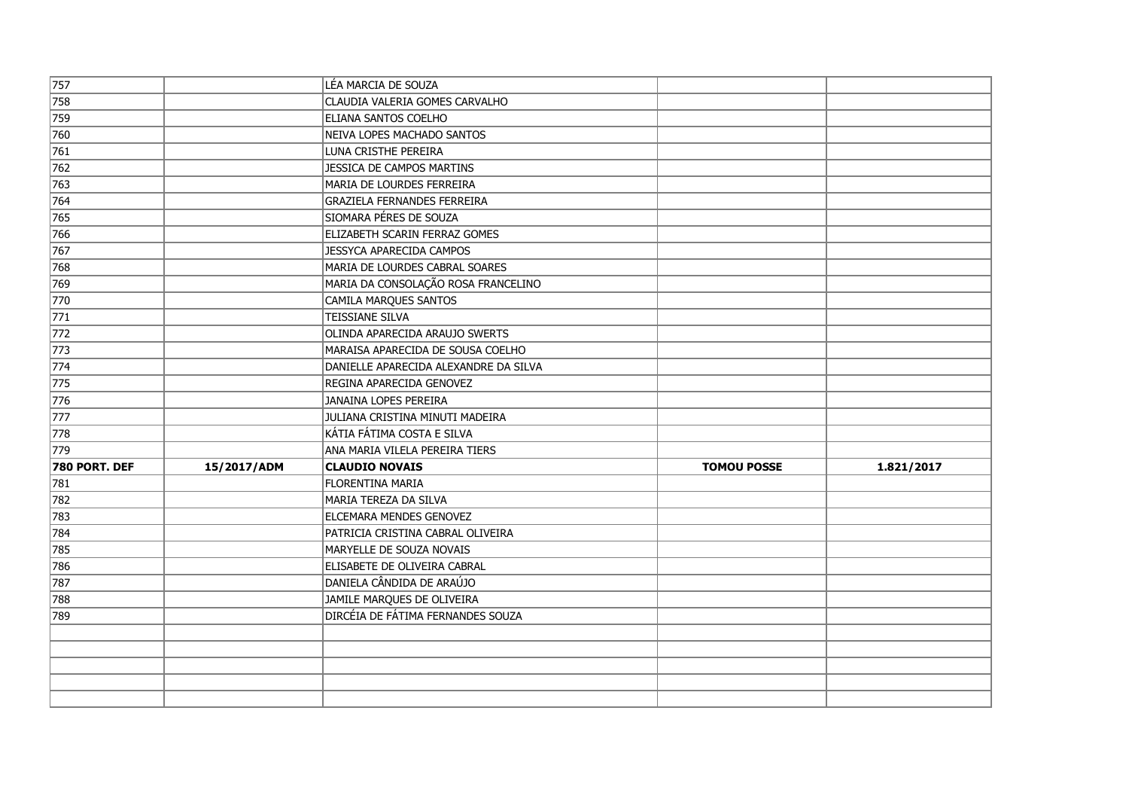| $\sqrt{757}$  |             | LÉA MARCIA DE SOUZA                   |                    |            |
|---------------|-------------|---------------------------------------|--------------------|------------|
| 758           |             | CLAUDIA VALERIA GOMES CARVALHO        |                    |            |
| 759           |             | ELIANA SANTOS COELHO                  |                    |            |
| 760           |             | NEIVA LOPES MACHADO SANTOS            |                    |            |
| $\sqrt{761}$  |             | LUNA CRISTHE PEREIRA                  |                    |            |
| 762           |             | JESSICA DE CAMPOS MARTINS             |                    |            |
| $\sqrt{763}$  |             | MARIA DE LOURDES FERREIRA             |                    |            |
| 764           |             | <b>GRAZIELA FERNANDES FERREIRA</b>    |                    |            |
| 765           |             | SIOMARA PÉRES DE SOUZA                |                    |            |
| 766           |             | ELIZABETH SCARIN FERRAZ GOMES         |                    |            |
| 767           |             | JESSYCA APARECIDA CAMPOS              |                    |            |
| 768           |             | MARIA DE LOURDES CABRAL SOARES        |                    |            |
| 769           |             | MARIA DA CONSOLAÇÃO ROSA FRANCELINO   |                    |            |
| 770           |             | CAMILA MARQUES SANTOS                 |                    |            |
| $\sqrt{771}$  |             | <b>TEISSIANE SILVA</b>                |                    |            |
| 772           |             | OLINDA APARECIDA ARAUJO SWERTS        |                    |            |
| $\sqrt{773}$  |             | MARAISA APARECIDA DE SOUSA COELHO     |                    |            |
| $\sqrt{774}$  |             | DANIELLE APARECIDA ALEXANDRE DA SILVA |                    |            |
| $\sqrt{775}$  |             | REGINA APARECIDA GENOVEZ              |                    |            |
| 776           |             | JANAINA LOPES PEREIRA                 |                    |            |
| 777           |             | JULIANA CRISTINA MINUTI MADEIRA       |                    |            |
| 778           |             | KÁTIA FÁTIMA COSTA E SILVA            |                    |            |
| 779           |             | ANA MARIA VILELA PEREIRA TIERS        |                    |            |
| 780 PORT. DEF | 15/2017/ADM | <b>CLAUDIO NOVAIS</b>                 | <b>TOMOU POSSE</b> | 1.821/2017 |
| 781           |             | <b>FLORENTINA MARIA</b>               |                    |            |
| 782           |             | MARIA TEREZA DA SILVA                 |                    |            |
| 783           |             | ELCEMARA MENDES GENOVEZ               |                    |            |
| 784           |             | PATRICIA CRISTINA CABRAL OLIVEIRA     |                    |            |
| 785           |             | MARYELLE DE SOUZA NOVAIS              |                    |            |
| 786           |             | ELISABETE DE OLIVEIRA CABRAL          |                    |            |
| 787           |             | DANIELA CÂNDIDA DE ARAÚJO             |                    |            |
| 788           |             | JAMILE MARQUES DE OLIVEIRA            |                    |            |
| 789           |             | DIRCÉIA DE FÁTIMA FERNANDES SOUZA     |                    |            |
|               |             |                                       |                    |            |
|               |             |                                       |                    |            |
|               |             |                                       |                    |            |
|               |             |                                       |                    |            |
|               |             |                                       |                    |            |